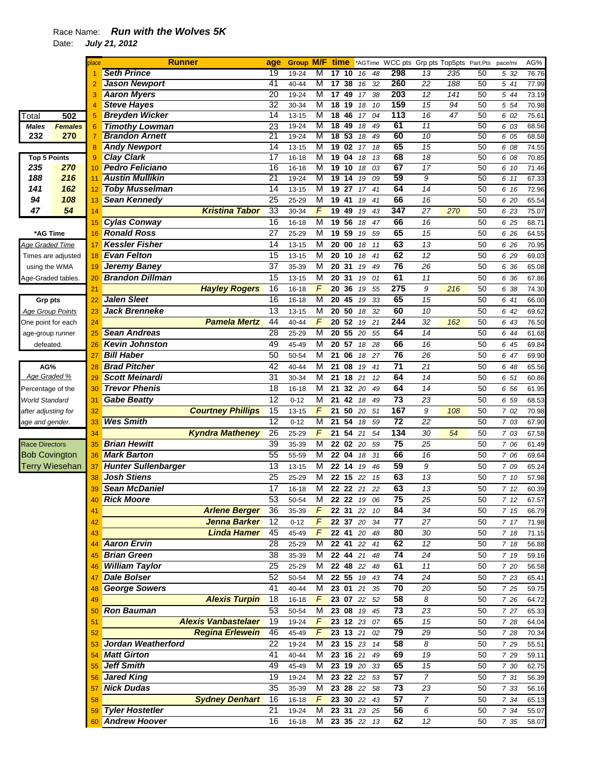## Race Name: *Run with the Wolves 5K*

Date: *July 21, 2012* 

|                         |                    |    | <b>Runner</b>              |                            | age             | <b>Group</b> | M/F          | time            |                      | *AGTime     |    | WCC pts Grp pts Top5pts |                 |     | Part.Pts | pace/mi | AG%   |
|-------------------------|--------------------|----|----------------------------|----------------------------|-----------------|--------------|--------------|-----------------|----------------------|-------------|----|-------------------------|-----------------|-----|----------|---------|-------|
|                         |                    |    | <b>Seth Prince</b>         |                            | 19              | 19-24        | M            | 17              | 10                   | 16          | 48 | 298                     | 13              | 235 | 50       | 5 32    | 76.76 |
|                         |                    |    | <b>Jason Newport</b>       |                            | 41              | 40-44        | М            | 17              | 38                   | 16          | 32 | 260                     | $\overline{22}$ | 188 | 50       | 5 41    | 77.99 |
|                         |                    | 3  | <b>Aaron Myers</b>         |                            | $\overline{20}$ | 19-24        | M            | 17              | 49                   | 17          | 38 | 203                     | $\overline{12}$ | 141 | 50       | 5 44    | 73.19 |
|                         |                    | 4  | <b>Steve Hayes</b>         |                            | 32              | 30-34        | M            | 18              | 19                   | 18          | 10 | 159                     | 15              | 94  | 50       | 5 54    | 70.98 |
| Total                   | 502                | 5  | <b>Breyden Wicker</b>      |                            | 14              | $13 - 15$    | M            | 18              | 46                   | 17          | 04 | 113                     | 16              | 47  | 50       | 6 02    | 75.61 |
| <b>Males</b>            | <b>Females</b>     | 6  | <b>Timothy Lowman</b>      |                            | 23              | 19-24        | M            | 18              | 49                   | 18          | 49 | 61                      | $\overline{11}$ |     | 50       | 6 03    | 68.56 |
| 232                     | 270                | 7  | <b>Brandon Arnett</b>      |                            | 21              | 19-24        | M            | $\overline{18}$ | 53                   | 18          | 49 | 60                      | 10              |     | 50       | 6 05    | 68.58 |
|                         |                    | 8  | <b>Andy Newport</b>        |                            | 14              | 13-15        | M            | 19              | 02                   | 17          | 18 | 65                      | 15              |     | 50       | 6 08    | 74.55 |
| <b>Top 5 Points</b>     |                    | 9  | <b>Clay Clark</b>          |                            | 17              | $16 - 18$    | М            | 19              | 04                   | 18          | 13 | 68                      | 18              |     | 50       | 6 08    | 70.85 |
| 235                     | 270                | 10 | <b>Pedro Feliciano</b>     |                            | 16              | 16-18        | M            | 19              | 10                   | 18          | 03 | 67                      | 17              |     | 50       | 6 10    | 71.46 |
| 188                     | 216                | 11 | <b>Austin Mullikin</b>     |                            | $\overline{21}$ | 19-24        | M            | 19              | 14                   | 19          | 09 | 59                      | 9               |     | 50       | 6 11    | 67.33 |
| 141                     | 162                | 12 | <b>Toby Musselman</b>      |                            | 14              | $13 - 15$    | M            | 19              | 27                   | 17          | 41 | 64                      | 14              |     | 50       | 6 16    | 72.96 |
| 94                      | 108                | 13 | <b>Sean Kennedy</b>        |                            | 25              | 25-29        | M            | 19              | 41                   | 19          | 41 | 66                      | 16              |     | 50       | 6 20    | 65.54 |
| 47                      | 54                 | 14 |                            | <b>Kristina Tabor</b>      | 33              | 30-34        | F            | 19              | 49                   | 19          | 43 | 347                     | 27              | 270 | 50       | 6 23    | 75.07 |
|                         |                    | 15 | <b>Cylas Conway</b>        |                            | 16              | $16 - 18$    | M            | 19              | 56                   | 18          | 47 | 66                      | 16              |     | 50       | 6 25    | 68.71 |
| *AG Time                |                    | 16 | <b>Ronald Ross</b>         |                            | 27              | 25-29        | M            | 19              | 59                   | 19          | 59 | 65                      | 15              |     | 50       | 6 26    | 64.55 |
| Age Graded Time         |                    | 17 | <b>Kessler Fisher</b>      |                            | 14              | 13-15        | M            |                 | 20 00                | 18          | 11 | 63                      | 13              |     | 50       | 6 26    | 70.95 |
|                         | Times are adjusted | 18 | <b>Evan Felton</b>         |                            | $\overline{15}$ | $13 - 15$    | M            | 20              | 10                   | 18          | 41 | 62                      | 12              |     | 50       | 6 29    | 69.03 |
|                         |                    |    | <b>Jeremy Baney</b>        |                            | $\overline{37}$ | 35-39        | M            | 20              | 31                   | 19          | 49 | 76                      | 26              |     | 50       | 6 36    | 65.08 |
| using the WMA           |                    | 19 | <b>Brandon Dillman</b>     |                            | 15              |              | M            | 20              | 31                   |             |    | 61                      | 11              |     |          |         |       |
| Age-Graded tables.      |                    | 20 |                            |                            |                 | $13 - 15$    |              |                 |                      | 19          | 01 |                         |                 |     | 50       | 6 36    | 67.86 |
|                         |                    | 21 |                            | <b>Hayley Rogers</b>       | 16              | $16 - 18$    | F            | 20              | 36                   | 19          | 55 | 275                     | 9               | 216 | 50       | 6 38    | 74.30 |
| <b>Grp pts</b>          |                    | 22 | <b>Jalen Sleet</b>         |                            | 16              | $16 - 18$    | M            | 20              | 45                   | 19          | 33 | 65                      | 15              |     | 50       | 6 41    | 66.00 |
| <b>Age Group Points</b> |                    | 23 | <b>Jack Brenneke</b>       |                            | 13              | $13 - 15$    | M            | 20              | 50                   | 18          | 32 | 60                      | 10              |     | 50       | 6 42    | 69.62 |
| One point for each      |                    | 24 |                            | <b>Pamela Mertz</b>        | 44              | 40-44        | F            |                 | 20 52                | 19          | 21 | 244                     | 32              | 162 | 50       | 6 43    | 76.50 |
| age-group runner        |                    | 25 | <b>Sean Andreas</b>        |                            | 28              | 25-29        | M            | 20              | 55                   | 20          | 55 | 64                      | 14              |     | 50       | 6 44    | 61.68 |
| defeated.               |                    | 26 | <b>Kevin Johnston</b>      |                            | 49              | 45-49        | M            | 20              | 57                   | 18          | 28 | 66                      | 16              |     | 50       | 6 45    | 69.84 |
|                         |                    | 27 | <b>Bill Haber</b>          |                            | 50              | 50-54        | M            | 21              | 06                   | 18          | 27 | 76                      | 26              |     | 50       | 6 47    | 69.90 |
| AG%                     |                    | 28 | <b>Brad Pitcher</b>        |                            | 42              | 40-44        | M            | 21              | 08                   | 19          | 41 | 71                      | 21              |     | 50       | 6 48    | 65.56 |
| Age Graded %            |                    | 29 | <b>Scott Meinardi</b>      |                            | 31              | 30-34        | M            | 21              | 18                   | 21          | 12 | 64                      | 14              |     | 50       | 6 51    | 60.86 |
| Percentage of the       |                    | 30 | <b>Trevor Phenis</b>       |                            | 18              | $16 - 18$    | M            | 21              | 32                   | 20          | 49 | 64                      | 14              |     | 50       | 6 56    | 61.95 |
| World Standard          |                    | 31 | <b>Gabe Beatty</b>         |                            | $\overline{12}$ | $0 - 12$     | M            | 21              | 42                   | 18          | 49 | $\overline{73}$         | 23              |     | 50       | 6 59    | 68.53 |
| after adjusting for     |                    | 32 |                            | <b>Courtney Phillips</b>   | 15              | $13 - 15$    | F            | 21              | 50                   | 20          | 51 | 167                     | 9               | 108 | 50       | 7 02    | 70.98 |
| age and gender.         |                    | 33 | <b>Wes Smith</b>           |                            | 12              | $0 - 12$     | M            | 21              | 54                   | 18          | 59 | 72                      | 22              |     | 50       | 7 03    | 67.90 |
|                         |                    | 34 |                            | <b>Kyndra Matheney</b>     | 26              | 25-29        | F            | 21              | 54                   | 21          | 54 | 134                     | 30              | 54  | 50       | 7 03    | 67.58 |
| Race Directors          |                    | 35 | <b>Brian Hewitt</b>        |                            | 39              | 35-39        | M            |                 | 22 02                | 20          | 59 | 75                      | 25              |     | 50       | 7 06    | 61.49 |
| <b>Bob Covington</b>    |                    | 36 | <b>Mark Barton</b>         |                            | 55              | 55-59        | М            |                 | 22 04                | 18          | 31 | 66                      | 16              |     | 50       | 7 06    | 69.64 |
|                         | Terry Wiesehan     | 37 | <b>Hunter Sullenbarger</b> |                            | 13              | $13 - 15$    | M            | 22              | 14                   | 19          | 46 | 59                      | 9               |     | 50       | 7 09    | 65.24 |
|                         |                    | 38 | <b>Josh Stiens</b>         |                            | 25              | 25-29        | М            | 22              | 15                   | 22          | 15 | 63                      | 13              |     | 50       | 7 10    | 57.98 |
|                         |                    | 39 | <b>Sean McDaniel</b>       |                            | 17              | $16 - 18$    | M            | 22              | 22                   | 21          | 22 | 63                      | 13              |     | 50       | 712     | 60.39 |
|                         |                    | 40 | <b>Rick Moore</b>          |                            | 53              | 50-54        | м            |                 | 22 22 19             |             | 06 | 75                      | 25              |     | 50       | 712     | 67.57 |
|                         |                    | 41 |                            | <b>Arlene Berger</b>       | $\overline{36}$ | 35-39        | $\mathsf{F}$ |                 | 22 31 22             |             | 10 | 84                      | 34              |     | 50       | 7 15    | 66.79 |
|                         |                    | 42 |                            | <b>Jenna Barker</b>        | 12              | $0 - 12$     | $F_{\perp}$  |                 |                      | 22 37 20 34 |    | 77                      | 27              |     | 50       | 7 17    | 71.98 |
|                         |                    | 43 |                            | <b>Linda Hamer</b>         | 45              | 45-49        | F            |                 | 22 41 20             |             | 48 | 80                      | 30              |     | 50       | 7 18    | 71.15 |
|                         |                    |    | <b>Aaron Ervin</b>         |                            | 28              | 25-29        | M            |                 | 22 41 22             |             | 41 | 62                      | 12              |     | 50       | 7 18    | 56.88 |
|                         |                    | 44 | <b>Brian Green</b>         |                            | 38              |              |              |                 |                      |             |    | 74                      |                 |     |          |         |       |
|                         |                    | 45 |                            |                            |                 | 35-39        | М            |                 | 22 44 21<br>22 48 22 |             | 48 |                         | 24              |     | 50       | 7 19    | 59.16 |
|                         |                    | 46 | <b>William Taylor</b>      |                            | 25              | 25-29        | M            |                 |                      |             | 48 | 61                      | $11$            |     | 50       | 7 20    | 56.58 |
|                         |                    | 47 | <b>Dale Bolser</b>         |                            | 52              | 50-54        | M            |                 | 22 55 19             |             | 43 | 74                      | 24              |     | 50       | 7 23    | 65.41 |
|                         |                    | 48 | <b>George Sowers</b>       |                            | 41              | 40-44        | M            |                 | 23 01 21             |             | 35 | 70                      | 20              |     | 50       | 7 25    | 59.75 |
|                         |                    | 49 |                            | <b>Alexis Turpin</b>       | 18              | 16-18        | F            |                 | 23 07 22             |             | 52 | 58                      | 8               |     | 50       | 7 26    | 64.72 |
|                         |                    | 50 | <b>Ron Bauman</b>          |                            | 53              | 50-54        | M            |                 | 23 08 19             |             | 45 | 73                      | 23              |     | 50       | 7 27    | 65.33 |
|                         |                    | 51 |                            | <b>Alexis Vanbastelaer</b> | 19              | 19-24        | F            |                 | 23 12 23             |             | 07 | 65                      | 15              |     | 50       | 7 28    | 64.04 |
|                         |                    | 52 |                            | <b>Regina Erlewein</b>     | 46              | 45-49        | F            |                 | 23 13 21             |             | 02 | 79                      | 29              |     | 50       | 7 28    | 70.34 |
|                         |                    | 53 | Jordan Weatherford         |                            | 22              | 19-24        | M            |                 | 23 15 23             |             | 14 | 58                      | 8               |     | 50       | 7 29    | 55.51 |
|                         |                    | 54 | <b>Matt Girton</b>         |                            | 41              | 40-44        | M            |                 | 23 16 21             |             | 49 | 69                      | 19              |     | 50       | 7 29    | 59.11 |
|                         |                    | 55 | <b>Jeff Smith</b>          |                            | 49              | 45-49        | M            |                 | 23 19 20             |             | 33 | 65                      | 15              |     | 50       | 7 30    | 62.75 |
|                         |                    | 56 | <b>Jared King</b>          |                            | 19              | 19-24        | м            |                 | 23 22                | 22          | 53 | 57                      | $\overline{7}$  |     | 50       | 7 31    | 56.39 |
|                         |                    | 57 | <b>Nick Dudas</b>          |                            | 35              | 35-39        | м            |                 | 23 28 22             |             | 58 | 73                      | 23              |     | 50       | 7 33    | 56.16 |
|                         |                    | 58 |                            | <b>Sydney Denhart</b>      | 16              | 16-18        | F            |                 | 23 30 22             |             | 43 | 57                      | $\overline{7}$  |     | 50       | 7 34    | 65.13 |
|                         |                    | 59 | <b>Tyler Hostetler</b>     |                            | 21              | 19-24        | M            |                 |                      | 23 31 23 25 |    | 56                      | 6               |     | 50       | 7 34    | 55.07 |
|                         |                    | 60 | <b>Andrew Hoover</b>       |                            | 16              | 16-18        | м            |                 | 23 35 22             |             | 13 | 62                      | 12              |     | 50       | 7 35    | 58.07 |
|                         |                    |    |                            |                            |                 |              |              |                 |                      |             |    |                         |                 |     |          |         |       |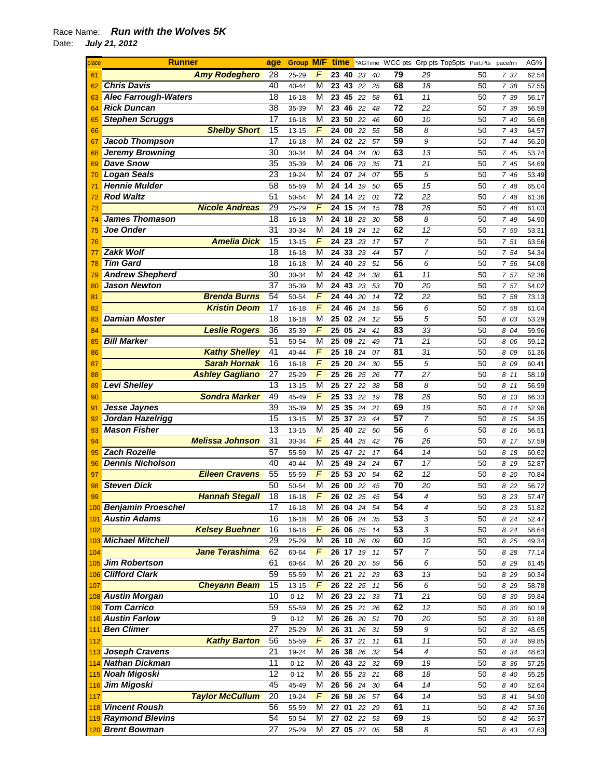| place | <b>Runner</b>               | age             | <b>Group M/F</b> |   | time       |                 |          |    |                 |                | *AGTime WCC pts Grp pts Top5pts Part.Pts | pace/mi | AG%   |
|-------|-----------------------------|-----------------|------------------|---|------------|-----------------|----------|----|-----------------|----------------|------------------------------------------|---------|-------|
| 61    | <b>Amy Rodeghero</b>        | 28              | 25-29            | F | 23         | 40              | 23       | 40 | 79              | 29             | 50                                       | 737     | 62.54 |
| 62    | <b>Chris Davis</b>          | 40              | 40-44            | М | 23         | 43              | 22       | 25 | 68              | 18             | 50                                       | 7 38    | 57.55 |
| 63    | <b>Alec Farrough-Waters</b> | 18              | 16-18            | М | 23         | 45              | 22       | 58 | 61              | 11             | 50                                       | 7 39    | 56.17 |
| 64    | <b>Rick Duncan</b>          | 38              | 35-39            | М | 23         | 46              | 22       | 48 | 72              | 22             | 50                                       | 7 39    | 56.59 |
| 65    | <b>Stephen Scruggs</b>      | 17              | 16-18            | М | 23         | 50              | 22       | 46 | 60              | 10             | 50                                       | 7 40    | 56.68 |
| 66    | <b>Shelby Short</b>         | 15              | 13-15            | F | 24         | 00              | 22       | 55 | 58              | 8              | 50                                       | 7 43    | 64.57 |
| 67    | <b>Jacob Thompson</b>       | 17              | 16-18            | М | 24         | 02              | 22       | 57 | 59              | 9              | 50                                       | 7 44    | 56.20 |
| 68    | <b>Jeremy Browning</b>      | 30              | 30-34            | М | 24         | 04              | 24       | 00 | 63              | 13             | 50                                       | 7 45    | 53.74 |
| 69    | <b>Dave Snow</b>            | 35              | 35-39            | М | 24         | 06              | 23       | 35 | 71              | 21             | 50                                       | 7 45    | 54.69 |
| 70    | <b>Logan Seals</b>          | 23              | 19-24            | M | 24         | 07              | 24       | 07 | 55              | 5              | 50                                       | 7 46    | 53.49 |
| 71    | <b>Hennie Mulder</b>        | 58              | 55-59            | М | 24         | 14              | 19       | 50 | 65              | 15             | 50                                       | 7 48    | 65.04 |
| 72    | <b>Rod Waltz</b>            | 51              | 50-54            | М | 24         | 14              | 21       | 01 | $\overline{72}$ | 22             | 50                                       | 7 48    | 61.36 |
| 73    | <b>Nicole Andreas</b>       | 29              | 25-29            | F | 24         | 15              | 24       | 15 | 78              | 28             | 50                                       | 7 48    | 61.03 |
| 74    | <b>James Thomason</b>       | 18              | 16-18            | М | 24         | 18              | 23       | 30 | 58              | 8              | 50                                       | 7 49    | 54.90 |
| 75    | <b>Joe Onder</b>            | $\overline{31}$ | 30-34            | М | 24         | 19              | 24       | 12 | 62              | 12             | 50                                       | 7 50    | 53.31 |
| 76    | <b>Amelia Dick</b>          | 15              | 13-15            | F | 24         | 23              | 23       | 17 | 57              | $\overline{7}$ | 50                                       | 751     | 63.56 |
| 77    | <b>Zakk Wolf</b>            | 18              | 16-18            | М | 24         | 33              | 23       | 44 | 57              | $\overline{7}$ | 50                                       | 7 54    | 54.34 |
| 78    | <b>Tim Gard</b>             | 18              | 16-18            | М | 24         | 40              | 23       | 51 | 56              | 6              | 50                                       | 7 56    | 54.08 |
| 79    | <b>Andrew Shepherd</b>      | 30              | 30-34            | М | 24         | 42 24           |          | 38 | 61              | 11             | 50                                       | 7 57    | 52.36 |
| 80    | <b>Jason Newton</b>         | 37              | 35-39            | М | 24         | 43              | 23       | 53 | 70              | 20             | 50                                       | 7 57    | 54.02 |
| 81    | <b>Brenda Burns</b>         | 54              | 50-54            | F | 24         | 44              | 20       | 14 | 72              | 22             | 50                                       | 7 58    | 73.13 |
| 82    | <b>Kristin Deom</b>         | $\overline{17}$ | 16-18            | F | 24         | 46              | 24       | 15 | $\overline{56}$ | 6              | 50                                       | 7 58    | 61.04 |
| 83    | <b>Damian Moster</b>        | 18              | 16-18            | М | 25         | 02              | 24       | 12 | 55              | 5              | 50                                       | 8 03    | 53.29 |
| 84    | <b>Leslie Rogers</b>        | 36              | 35-39            | F | 25         | 05              | 24       | 41 | 83              | 33             | 50                                       | 8 04    | 59.96 |
| 85    | <b>Bill Marker</b>          | 51              | 50-54            | М | 25         | 09              | 21       | 49 | 71              | 21             | 50                                       | 8 06    | 59.12 |
| 86    | <b>Kathy Shelley</b>        | 41              | 40-44            | F | 25 18      |                 | 24       | 07 | 81              | 31             | 50                                       | 8 09    | 61.36 |
| 87    | <b>Sarah Hornak</b>         | 16              | 16-18            | F | 25         | 20              | 24       | 30 | 55              | 5              | 50                                       | 8 0 9   | 60.41 |
| 88    | <b>Ashley Gagliano</b>      | 27              | 25-29            | F | 25         | 26              | 25       | 26 | 77              | 27             | 50                                       | 8 11    | 58.19 |
| 89    | <b>Levi Shelley</b>         | 13              | 13-15            | М | 25         | 27              | 22       | 38 | 58              | 8              | 50                                       | 8 11    | 56.99 |
| 90    | <b>Sondra Marker</b>        | 49              | 45-49            | F | 25         | 33              | 22       | 19 | 78              | 28             | 50                                       | 8 13    | 66.33 |
| 91    | Jesse Jaynes                | 39              | 35-39            | М | 25         | 35              | 24       | 21 | 69              | 19             | 50                                       | 8 14    | 52.96 |
| 92    | Jordan Hazelrigg            | 15              | 13-15            | М | 25         | 37              | 23       | 44 | $\overline{57}$ | $\overline{7}$ | 50                                       | 8 15    | 54.35 |
| 93    | <b>Mason Fisher</b>         | $\overline{13}$ | 13-15            | М | 25         | 40              | 22       | 50 | 56              | 6              | 50                                       | 8 16    | 56.51 |
| 94    | <b>Melissa Johnson</b>      | $\overline{31}$ | 30-34            | F | 25         | 44              | 25       | 42 | $\overline{76}$ | 26             | 50                                       | 8 17    | 57.59 |
| 95    | <b>Zach Rozelle</b>         | 57              | 55-59            | М | 25         | 47              | 21       | 17 | 64              | 14             | 50                                       | 8 18    | 60.62 |
| 96    | <b>Dennis Nicholson</b>     | 40              | 40-44            | М | 25         | 49              | 24       | 24 | 67              | 17             | 50                                       | 8 19    | 52.87 |
| 97    | <b>Eileen Cravens</b>       | 55              | 55-59            | F | 25         | 53              | 20       | 54 | 62              | 12             | 50                                       | 8 20    | 70.84 |
| 98    | <b>Steven Dick</b>          | 50              | 50-54            | М | 26 00      |                 | 22       | 45 | 70              | 20             | 50                                       | 8 22    | 56.72 |
| 99    | <u>Hannah Stegall</u>       | 18              | 16-18            | F |            | <b>26 02</b> 25 |          | 45 | 54              | 4              | 50                                       | 823     | 57.47 |
|       | 100 Benjamin Proeschel      | 17              | 16-18            | M |            |                 | 26 04 24 | 54 | 54              | 4              | 50                                       | 8 23    | 51.82 |
| 101   | <b>Austin Adams</b>         | 16              | 16-18            | М | 26 06 24   |                 |          | 35 | 53              | 3              | 50                                       | 8 24    | 52.47 |
| 102   | <b>Kelsey Buehner</b>       | 16              | $16 - 18$        | F | 26 06 25   |                 |          | 14 | 53              | 3              | 50                                       | 8 2 4   | 58.64 |
|       | 103 Michael Mitchell        | 29              | 25-29            | M | 26 10 26   |                 |          | 09 | 60              | 10             | 50                                       | 8 25    | 49.34 |
| 104   | <b>Jane Terashima</b>       | 62              | 60-64            | F | 26 17      |                 | 19       | 11 | 57              | 7              | 50                                       | 8 28    | 77.14 |
| 105   | <b>Jim Robertson</b>        | 61              | 60-64            | М | 26 20 20   |                 |          | 59 | 56              | 6              | 50                                       | 8 2 9   | 61.45 |
| 106   | <b>Clifford Clark</b>       | 59              | 55-59            | М | 26 21 21   |                 |          | 23 | 63              | 13             | 50                                       | 8 2 9   | 60.34 |
| 107   | <b>Cheyann Beam</b>         | 15              | 13-15            | F | $26$ 22 25 |                 |          | 11 | 56              | 6              | 50                                       | 8 2 9   | 58.78 |
|       | 108 Austin Morgan           | 10              | $0 - 12$         | М | 26 23 21   |                 |          | 33 | 71              | 21             | 50                                       | 8 30    | 59.84 |
|       | 109 Tom Carrico             | 59              | 55-59            | М | 26 25 21   |                 |          | 26 | 62              | 12             | 50                                       | 8 30    | 60.19 |
|       | 110 Austin Farlow           | 9               | $0 - 12$         | М | 26 26      |                 | 20       | 51 | 70              | 20             | 50                                       | 8 30    | 61.88 |
| 111   | <b>Ben Climer</b>           | $\overline{27}$ | 25-29            | M | 26 31 26   |                 |          | 31 | 59              | 9              | 50                                       | 8 32    | 48.65 |
| 112   | <b>Kathy Barton</b>         | 56              | 55-59            | F | 26 37      |                 | 21       | 11 | 61              | 11             | 50                                       | 8 34    | 69.85 |
| 113   | <b>Joseph Cravens</b>       | $\overline{21}$ | 19-24            | М | 26 38 26   |                 |          | 32 | 54              | 4              | 50                                       | 8 34    | 48.63 |
| 114   | <b>Nathan Dickman</b>       | 11              | $0 - 12$         | М | 26 43 22   |                 |          | 32 | 69              | 19             | 50                                       | 8 36    | 57.25 |
|       | Noah Migoski                | $\overline{12}$ | $0 - 12$         | М |            |                 | 26 55 23 | 21 | 68              | 18             | 50                                       | 8 40    | 55.25 |
| 116   | <b>Jim Migoski</b>          | 45              | 45-49            | М | 26 56 24   |                 |          | 30 | 64              | 14             | 50                                       | 8 40    | 52.64 |
| 117   | <b>Taylor McCullum</b>      | 20              | 19-24            | F | 26 58 26   |                 |          | 57 | 64              | 14             | 50                                       | 8 41    | 54.90 |
|       | 118 Vincent Roush           | 56              | 55-59            | М | 27         | 01              | 22       | 29 | 61              | 11             | 50                                       | 8 42    | 57.36 |
|       | 119 Raymond Blevins         | 54              | 50-54            | М | 27 02 22   |                 |          | 53 | 69              | 19             | 50                                       | 8 42    | 56.37 |
|       | 120 Brent Bowman            | 27              | 25-29            | Μ |            |                 | 27 05 27 | 05 | 58              | 8              | 50                                       | 8 43    | 47.63 |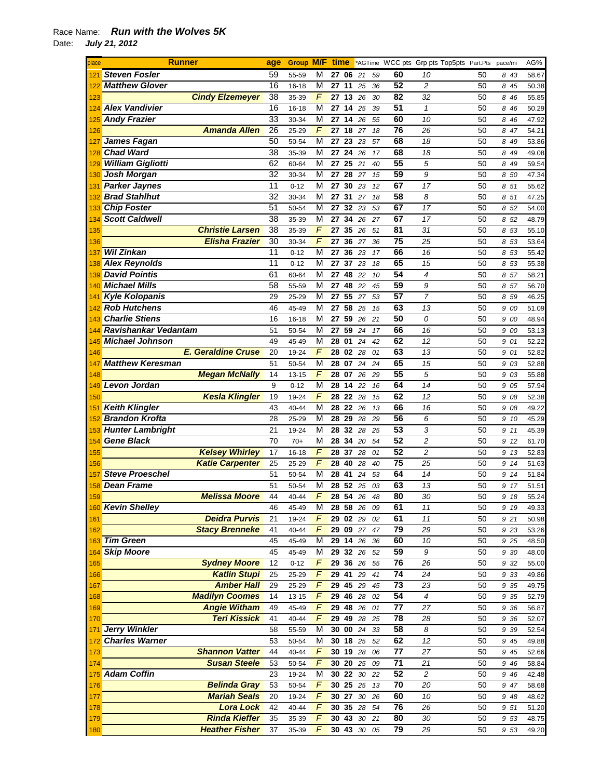| place    | <b>Runner</b>             | age             |           |                         |    |              |                 |    |    | <b>Group M/F time</b> *AGTime WCC pts Grp pts Top5pts Part.Pts |    | pace/mi | AG%   |
|----------|---------------------------|-----------------|-----------|-------------------------|----|--------------|-----------------|----|----|----------------------------------------------------------------|----|---------|-------|
| 121      | <b>Steven Fosler</b>      | 59              | 55-59     | М                       |    | 27 06        | 21              | 59 | 60 | 10                                                             | 50 | 8 43    | 58.67 |
|          | <b>Matthew Glover</b>     | 16              | $16 - 18$ | M                       | 27 | 11           | 25              | 36 | 52 | $\overline{c}$                                                 | 50 | 8 45    | 50.38 |
| 123      | <b>Cindy Elzemeyer</b>    | 38              | 35-39     | $\sqrt{F}$              |    | 27 13        | 26              | 30 | 82 | 32                                                             | 50 | 8 4 6   | 55.85 |
|          | 124 Alex Vandivier        | 16              | 16-18     | M                       |    | 27 14        | 25              | 39 | 51 | $\mathbf{1}$                                                   | 50 |         |       |
|          |                           |                 |           |                         |    |              |                 |    |    |                                                                |    | 8 4 6   | 50.29 |
| 125      | <b>Andy Frazier</b>       | 33              | 30-34     | M                       |    | 27 14        | 26              | 55 | 60 | 10                                                             | 50 | 8 4 6   | 47.92 |
| 126      | <b>Amanda Allen</b>       | 26              | 25-29     | F                       | 27 | 18           | 27              | 18 | 76 | 26                                                             | 50 | 8 47    | 54.21 |
| 127      | James Fagan               | 50              | 50-54     | М                       | 27 | 23           | 23              | 57 | 68 | 18                                                             | 50 | 8 49    | 53.86 |
|          | <b>Chad Ward</b>          | 38              | 35-39     | M                       |    | 27 24        | 26              | 17 | 68 | 18                                                             | 50 | 8 49    | 49.08 |
| 129      | <b>William Gigliotti</b>  | 62              | 60-64     | M                       |    | 27 25 21     |                 | 40 | 55 | 5                                                              | 50 | 8 49    | 59.54 |
|          | 130 Josh Morgan           | $\overline{32}$ | 30-34     | M                       | 27 | 28           | 27              | 15 | 59 | 9                                                              | 50 | 8 50    | 47.34 |
| 131      | <b>Parker Jaynes</b>      | $\overline{11}$ | $0 - 12$  | M                       | 27 | 30           | 23              | 12 | 67 | 17                                                             | 50 | 8 51    | 55.62 |
|          | <b>Brad Stahlhut</b>      | $\overline{32}$ | 30-34     | M                       |    | 27 31        | 27              | 18 | 58 | 8                                                              | 50 | 8 51    | 47.25 |
|          | <b>Chip Foster</b>        | 51              |           | M                       | 27 | 32           | 23              |    | 67 | 17                                                             | 50 |         |       |
| 133      |                           |                 | 50-54     |                         |    |              |                 | 53 |    |                                                                |    | 8 52    | 54.00 |
| 134      | <b>Scott Caldwell</b>     | 38              | 35-39     | М                       | 27 | 34 26        |                 | 27 | 67 | 17                                                             | 50 | 8 52    | 48.79 |
| 135      | <b>Christie Larsen</b>    | 38              | 35-39     | F                       | 27 | 35           | 26              | 51 | 81 | 31                                                             | 50 | 8 53    | 55.10 |
| 136      | <b>Elisha Frazier</b>     | 30              | 30-34     | F                       |    | 27 36 27     |                 | 36 | 75 | 25                                                             | 50 | 8 53    | 53.64 |
| 137      | <b>Wil Zinkan</b>         | 11              | $0 - 12$  | M                       | 27 | 3623         |                 | 17 | 66 | 16                                                             | 50 | 8 53    | 55.42 |
| 138      | <b>Alex Reynolds</b>      | 11              | $0 - 12$  | М                       | 27 | 37           | 23              | 18 | 65 | 15                                                             | 50 | 8 53    | 55.38 |
| 139      | <b>David Pointis</b>      | 61              | 60-64     | M                       | 27 | 48           | 22              | 10 | 54 | $\overline{4}$                                                 | 50 | 8 57    | 58.21 |
|          | 140 Michael Mills         | 58              | 55-59     | M                       |    | 27 48        | 22              | 45 | 59 | 9                                                              | 50 | 8 57    | 56.70 |
| 141      | <b>Kyle Kolopanis</b>     | 29              | 25-29     | $\overline{\mathsf{M}}$ | 27 | 55           | 27              | 53 | 57 | $\overline{7}$                                                 | 50 | 8 59    | 46.25 |
|          | <b>Rob Hutchens</b>       |                 |           |                         |    |              |                 |    |    |                                                                |    |         |       |
| 142      |                           | 46              | 45-49     | M                       | 27 | 58 25        |                 | 15 | 63 | 13                                                             | 50 | 9 00    | 51.09 |
| 143      | <b>Charlie Stiens</b>     | 16              | $16 - 18$ | М                       | 27 | 59           | 26              | 21 | 50 | 0                                                              | 50 | 9 00    | 48.94 |
|          | Ravishankar Vedantam      | 51              | 50-54     | М                       | 27 | 59           | 24              | 17 | 66 | 16                                                             | 50 | 9 00    | 53.13 |
|          | <b>Michael Johnson</b>    | 49              | 45-49     | M                       | 28 | 01           | 24              | 42 | 62 | 12                                                             | 50 | 9 01    | 52.22 |
| 146      | <b>E. Geraldine Cruse</b> | 20              | 19-24     | F                       |    | 28 02 28     |                 | 01 | 63 | 13                                                             | 50 | 9 01    | 52.82 |
| 147      | <b>Matthew Keresman</b>   | 51              | 50-54     | M                       | 28 | 07           | 24              | 24 | 65 | 15                                                             | 50 | 9 03    | 52.88 |
| 148      | <b>Megan McNally</b>      | 14              | $13 - 15$ | $\sqrt{F}$              |    | 28 07        | 26              | 29 | 55 | 5                                                              | 50 | 9 03    | 55.88 |
|          | 149 Levon Jordan          | 9               | $0 - 12$  | M                       |    | 28 14        | 22              | 16 | 64 | 14                                                             | 50 | 9 05    | 57.94 |
|          | <b>Kesla Klingler</b>     | 19              | 19-24     | F                       |    | 28 22 28     |                 |    | 62 | 12                                                             | 50 |         |       |
| 150      |                           |                 |           |                         |    |              |                 | 15 |    |                                                                |    | 9 08    | 52.38 |
| 151      | <b>Keith Klingler</b>     | 43              | 40-44     | M                       |    | 28 22        | 26              | 13 | 66 | 16                                                             | 50 | 9 08    | 49.22 |
| 152      | <b>Brandon Krofta</b>     | 28              | 25-29     | М                       | 28 | 29           | 28              | 29 | 56 | 6                                                              | 50 | 9 10    | 45.29 |
| 153      | <b>Hunter Lambright</b>   | 21              | 19-24     | М                       |    | 28 32 28     |                 | 25 | 53 | 3                                                              | 50 | 9 11    | 45.39 |
| 154      | <b>Gene Black</b>         | $\overline{70}$ | $70+$     | M                       |    | 28 34 20     |                 | 54 | 52 | $\overline{c}$                                                 | 50 | 9 12    | 61.70 |
| 155      | <b>Kelsey Whirley</b>     | 17              | $16 - 18$ | $\overline{F}$          |    | 28 37        | 28              | 01 | 52 | $\overline{c}$                                                 | 50 | 9 13    | 52.83 |
| 156      | <b>Katie Carpenter</b>    | 25              | 25-29     | $\overline{F}$          | 28 | 40           | 28              | 40 | 75 | 25                                                             | 50 | 9 14    | 51.63 |
|          | <b>Steve Proeschel</b>    | 51              | 50-54     | M                       |    | 28 41        | 24              | 53 | 64 | 14                                                             | 50 | 9 14    | 51.84 |
|          | 158 Dean Frame            | 51              | 50-54     | M                       |    | $28\ 52\ 25$ |                 | 03 | 63 | 13                                                             | 50 | 9 17    | 51.51 |
| 159      | <b>Melissa Moore</b>      | 44              | 40-44     | F                       | 28 | 54           | 26              | 48 | 80 | 30                                                             | 50 | 9 18    | 55.24 |
|          | 160 Kevin Shelley         |                 |           |                         |    |              |                 |    | 61 | 11                                                             |    |         |       |
|          |                           | 46              | 45-49     | M                       |    |              | <b>28 58 26</b> | 09 |    |                                                                | 50 | 9 19    | 49.33 |
| 161      | <b>Deidra Purvis</b>      | 21              | 19-24     | F                       |    |              | 29 02 29 02     |    | 61 | 11                                                             | 50 | 9 21    | 50.98 |
| 162      | <b>Stacy Brenneke</b>     | 41              | 40-44     | $\overline{F}$          |    |              | 290927          | 47 | 79 | 29                                                             | 50 | 9 23    | 53.26 |
|          | 163 Tim Green             | 45              | 45-49     | M                       |    | 29 14 26     |                 | 36 | 60 | 10                                                             | 50 | 9 25    | 48.50 |
|          | 164 Skip Moore            | 45              | 45-49     | M                       |    | 29 32 26     |                 | 52 | 59 | $\boldsymbol{9}$                                               | 50 | 9 30    | 48.00 |
| 165      | <b>Sydney Moore</b>       | 12              | $0 - 12$  | F                       |    | 29 36 26     |                 | 55 | 76 | 26                                                             | 50 | 9 32    | 55.00 |
| 166      | <b>Katlin Stupi</b>       | 25              | 25-29     | $\overline{F}$          |    | $29$ 41      | 29              | 41 | 74 | 24                                                             | 50 | 9 33    | 49.86 |
| 167      | <b>Amber Hall</b>         | 29              | 25-29     | $\overline{F}$          |    | 29 45 29     |                 | 45 | 73 | 23                                                             | 50 | 9 35    | 49.75 |
| 168      | <b>Madilyn Coomes</b>     | 14              | $13 - 15$ | F                       |    | 29 46 28     |                 | 02 | 54 | $\overline{4}$                                                 | 50 | 9 35    | 52.79 |
| 169      | <b>Angie Witham</b>       | 49              | 45-49     | F                       | 29 |              | 48 26           | 01 | 77 | 27                                                             | 50 | 9 36    | 56.87 |
|          | <b>Teri Kissick</b>       | 41              |           | $\sqrt{2}$              |    |              | 29 49 28        |    | 78 | 28                                                             |    |         |       |
| 170      |                           |                 | 40-44     |                         |    |              |                 | 25 |    |                                                                | 50 | 9 36    | 52.07 |
|          | 171 Jerry Winkler         | 58              | 55-59     | M                       |    |              | 30 00 24        | 33 | 58 | 8                                                              | 50 | 9 3 9   | 52.54 |
|          | 172 Charles Warner        | 53              | 50-54     | M                       |    | 30 18        | 25              | 52 | 62 | 12                                                             | 50 | 9 45    | 49.88 |
| I<br>173 | <b>Shannon Vatter</b>     | 44              | 40-44     | F                       |    | 30 19        | 28              | 06 | 77 | 27                                                             | 50 | 9 45    | 52.66 |
| 174      | <b>Susan Steele</b>       | 53              | 50-54     | F                       |    | 30 20 25     |                 | 09 | 71 | 21                                                             | 50 | 9 4 6   | 58.84 |
|          | 175 Adam Coffin           | 23              | 19-24     | M                       |    | 30 22 30     |                 | 22 | 52 | 2                                                              | 50 | 9 4 6   | 42.48 |
| Ι<br>176 | <b>Belinda Gray</b>       | 53              | 50-54     | F                       |    | 30 25 25     |                 | 13 | 70 | 20                                                             | 50 | 9 47    | 58.68 |
| 177      | <b>Mariah Seals</b>       | 20              | 19-24     | F                       |    | 30 27        | 30              | 26 | 60 | 10                                                             | 50 | 9 48    | 48.62 |
|          | <b>Lora Lock</b>          | 42              | 40-44     | F                       |    |              | 30 35 28 54     |    | 76 | 26                                                             | 50 |         |       |
| 178      |                           |                 |           |                         |    |              |                 |    |    |                                                                |    | 9 51    | 51.20 |
| 179      | <b>Rinda Kieffer</b>      | 35              | 35-39     | F                       |    |              | $30$ 43 30 21   |    | 80 | 30                                                             | 50 | 9 53    | 48.75 |
| 180      | <b>Heather Fisher</b>     | 37              | 35-39     | F                       |    |              | 30 43 30 05     |    | 79 | 29                                                             | 50 | 9 53    | 49.20 |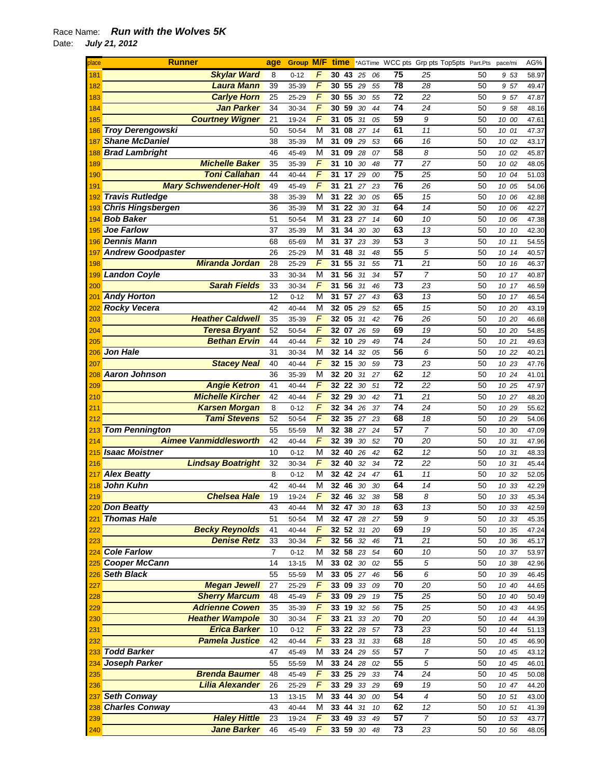| place           | <b>Runner</b>                                | age            | <b>Group M/F</b> |                     | time             |          |          |          | *AGTime WCC pts Grp pts Top5pts Part.Pts |                      |          | pace/mi              | AG%            |
|-----------------|----------------------------------------------|----------------|------------------|---------------------|------------------|----------|----------|----------|------------------------------------------|----------------------|----------|----------------------|----------------|
| 181             | <b>Skylar Ward</b>                           | 8              | $0 - 12$         | F                   | 30               | 43       | 25       | 06       | 75                                       | 25                   | 50       | 9 53                 | 58.97          |
| 182             | <b>Laura Mann</b>                            | 39             | 35-39            | $\sqrt{2}$          | 30               | 55       | 29       | 55       | 78                                       | 28                   | 50       | 9 57                 | 49.47          |
| 183             | <b>Carlye Horn</b>                           | 25             | 25-29            | F                   | 30               | 55       | 30       | 55       | 72                                       | 22                   | 50       | 9 57                 | 47.87          |
| 184             | <b>Jan Parker</b>                            | 34             | 30-34            | F                   | 30               | 59       | 30       | 44       | 74                                       | 24                   | 50       | 9 58                 | 48.16          |
| 185             | <b>Courtney Wigner</b>                       | 21             | 19-24            | F                   | 31               | 05       | 31       | 05       | 59                                       | 9                    | 50       | 10 00                | 47.61          |
| 186             | <b>Troy Derengowski</b>                      | 50             | 50-54            | M                   | 31               | 08       | 27       | 14       | 61                                       | 11                   | 50       | 10 01                | 47.37          |
| 187             | <b>Shane McDaniel</b>                        | 38             | 35-39            | M                   | 31               | 09       | 29       | 53       | 66                                       | 16                   | 50       | 10 02                | 43.17          |
| 188             | <b>Brad Lambright</b>                        | 46             | 45-49            | M                   | 31               | 09       | 28       | 07       | 58                                       | 8                    | 50       | 10 02                | 45.87          |
| 189             | <b>Michelle Baker</b>                        | 35             | 35-39            | $\sqrt{2}$          | 31               | 10       | 30       | 48       | 77                                       | 27                   | 50       | 10 02                | 48.05          |
| 190             | Toni Callahan                                | 44             | 40-44            | $\overline{F}$      | 31               | 17       | 29       | 00       | $\overline{75}$                          | 25                   | 50       | 10<br>04             | 51.03          |
| 191             | <b>Mary Schwendener-Holt</b>                 | 49             | 45-49            | F                   | 31               | 21       | 27       | 23       | 76                                       | 26                   | 50       | 10 05                | 54.06          |
| 192             | <b>Travis Rutledge</b>                       | 38             | 35-39            | M                   | 31               | 22       | 30       | 05       | 65                                       | 15                   | 50       | 10<br>06             | 42.88          |
| 193             | <b>Chris Hingsbergen</b>                     | 36             | 35-39            | М                   | 31               | 22       | 30       | 31       | 64                                       | 14                   | 50       | 10 06                | 42.27          |
| 194             | <b>Bob Baker</b><br><b>Joe Farlow</b>        | 51             | 50-54            | М<br>M              | 31               | 23       | 27       | 14       | 60<br>63                                 | 10                   | 50       | 10<br>06             | 47.38          |
| 195             | <b>Dennis Mann</b>                           | 37<br>68       | 35-39            | M                   | 31<br>31         | 34<br>37 | 30       | 30       | 53                                       | 13<br>3              | 50<br>50 | 10 10                | 42.30          |
| 196<br>197      | <b>Andrew Goodpaster</b>                     | 26             | 65-69<br>25-29   | M                   | 31               | 48       | 23<br>31 | 39<br>48 | 55                                       | 5                    | 50       | 10<br>11<br>10<br>14 | 54.55<br>40.57 |
| 198             | <b>Miranda Jordan</b>                        | 28             | 25-29            | F                   | 31               | 55       | 31       | 55       | 71                                       | 21                   | 50       | 10<br>16             | 46.37          |
| 199             | <b>Landon Coyle</b>                          | 33             | 30-34            | M                   | 31               | 56       | 31       | 34       | 57                                       | 7                    | 50       | 10<br>17             | 40.87          |
| 200             | <b>Sarah Fields</b>                          | 33             | 30-34            | F                   | 31               | 56       | 31       | 46       | 73                                       | 23                   | 50       | 10 17                | 46.59          |
| 20 <sup>1</sup> | <b>Andy Horton</b>                           | 12             | $0 - 12$         | М                   | 31               | 57       | 27       | 43       | 63                                       | 13                   | 50       | 10 17                | 46.54          |
| 202             | <b>Rocky Vecera</b>                          | 42             | 40-44            | М                   | 32 05            |          | 29       | 52       | 65                                       | 15                   | 50       | 10 20                | 43.19          |
| 203             | <b>Heather Caldwell</b>                      | 35             | 35-39            | F                   | 32 05            |          | 31       | 42       | 76                                       | 26                   | 50       | 10 20                | 46.68          |
| 204             | <b>Teresa Bryant</b>                         | 52             | 50-54            | F                   | 32 07            |          | 26       | 59       | 69                                       | 19                   | 50       | 10 20                | 54.85          |
| 205             | <b>Bethan Ervin</b>                          | 44             | 40-44            | $\overline{F}$      | 32               | 10       | 29       | 49       | 74                                       | 24                   | 50       | 10 21                | 49.63          |
| 206             | <b>Jon Hale</b>                              | 31             | 30-34            | M                   | 32 14            |          | 32       | 05       | 56                                       | 6                    | 50       | 10 22                | 40.21          |
| 207             | <b>Stacey Neal</b>                           | 40             | 40-44            | F                   | 32               | 15       | 30       | 59       | 73                                       | 23                   | 50       | 10 23                | 47.76          |
| 208             | <b>Aaron Johnson</b>                         | 36             | 35-39            | M                   | 32 20            |          | 31       | 27       | 62                                       | 12                   | 50       | 10 24                | 41.01          |
| 209             | <b>Angie Ketron</b>                          | 41             | 40-44            | F                   | 32               | 22       | 30       | 51       | 72                                       | 22                   | 50       | 10 25                | 47.97          |
| 210             | <b>Michelle Kircher</b>                      | 42             | 40-44            | F                   | 32 29            |          | 30       | 42       | 71                                       | 21                   | 50       | 10 27                | 48.20          |
| 211             | <b>Karsen Morgan</b>                         | 8              | $0 - 12$         | F                   | 32               | 34       | 26       | 37       | 74                                       | 24                   | 50       | 10 29                | 55.62          |
| 212             | <b>Tami Stevens</b>                          | 52             | 50-54            | F                   | 32 35            |          | 27       | 23       | 68                                       | 18                   | 50       | 10 29                | 54.06          |
| 213             | <b>Tom Pennington</b>                        | 55             | 55-59            | M                   | 32               | 38       | 27       | 24       | 57                                       | $\overline{7}$       | 50       | 10<br>30             | 47.09          |
| 214             | <b>Aimee Vanmiddlesworth</b>                 | 42             | 40-44            | $\overline{F}$      | 32               | 39       | 30       | 52       | 70                                       | 20                   | 50       | 10<br>31             | 47.96          |
| 215             | <b>Isaac Moistner</b>                        | 10             | $0 - 12$         | M                   | 32               | 40       | 26       | 42       | 62                                       | 12                   | 50       | 10<br>31             | 48.33          |
| 216             | <b>Lindsay Boatright</b>                     | 32             | 30-34            | $\sqrt{2}$          | 32 40            |          | 32       | 34       | 72                                       | 22                   | 50       | 10<br>31             | 45.44          |
| 217             | <b>Alex Beatty</b>                           | 8              | $0 - 12$         | М                   | 32               | 42       | 24       | 47       | 61                                       | 11                   | 50       | 10<br>32             | 52.05          |
| 218             | <b>John Kuhn</b>                             | 42             | 40-44            | М                   | 32               | 46       | 30       | 30       | 64                                       | 14                   | 50       | 10 33                | 42.29          |
| 219             | Chelsea Hale<br>220 Don Beatty               | 19<br>43       | 19-24<br>40-44   | F<br>M              | 3246<br>32 47 30 |          | 32       | 38<br>18 | 58<br>63                                 | 8<br>13              | 50<br>50 | 10 33<br>10 33       | 45.34<br>42.59 |
| 221             | <b>Thomas Hale</b>                           | 51             | 50-54            | M                   | 32 47            |          | 28       | 27       | 59                                       | 9                    | 50       | 10 33                | 45.35          |
| 222             | <b>Becky Reynolds</b>                        | 41             | 40-44            | $\sqrt{2}$          | 32 52 31         |          |          | 20       | 69                                       | 19                   | 50       | 10 35                | 47.24          |
| 223             | <b>Denise Retz</b>                           | 33             | 30-34            | F                   | 32 56 32         |          |          | 46       | 71                                       | 21                   | 50       | 10 36                | 45.17          |
| 224             | <b>Cole Farlow</b>                           | $\overline{7}$ | $0 - 12$         | М                   | 32 58 23         |          |          | 54       | 60                                       | 10                   | 50       | 10 37                | 53.97          |
|                 | <b>Cooper McCann</b>                         | 14             | 13-15            | М                   | 33 02 30         |          |          | 02       | 55                                       | 5                    | 50       | 10 38                | 42.96          |
| 226             | <b>Seth Black</b>                            | 55             | 55-59            | M                   | 33 05 27         |          |          | 46       | 56                                       | 6                    | 50       | 10 39                | 46.45          |
| 227             | <b>Megan Jewell</b>                          | 27             | 25-29            | F                   | 33 09 33         |          |          | 09       | 70                                       | 20                   | 50       | 10 40                | 44.65          |
| 228             | <b>Sherry Marcum</b>                         | 48             | 45-49            | $\overline{F}$      | 33 09 29         |          |          | 19       | 75                                       | 25                   | 50       | 10 40                | 50.49          |
| 229             | <b>Adrienne Cowen</b>                        | 35             | 35-39            | F                   | 33 19            |          | 32       | 56       | 75                                       | 25                   | 50       | 10 43                | 44.95          |
| 230             | <b>Heather Wampole</b>                       | 30             | 30-34            | $\overline{F}$      | 33 21            |          | 33       | 20       | 70                                       | 20                   | 50       | 10 44                | 44.39          |
| 231             | <b>Erica Barker</b>                          | 10             | $0 - 12$         | F                   | 33 22 28         |          |          | 57       | 73                                       | 23                   | 50       | 10 44                | 51.13          |
| 232             | <b>Pamela Justice</b>                        | 42             | 40-44            | $\overline{F}$      | 33 23 31         |          |          | 33       | 68                                       | 18                   | 50       | 10 45                | 46.90          |
| 233             | <b>Todd Barker</b>                           | 47             | 45-49            | М                   | 33 24 29         |          |          | 55       | 57                                       | 7                    | 50       | 10 45                | 43.12          |
| 234             | Joseph Parker                                | 55             | 55-59            | M                   | 33 24 28         |          |          | 02       | 55                                       | 5                    | 50       | 10 45                | 46.01          |
| 235             | <b>Brenda Baumer</b>                         | 48             | 45-49            | F                   | 33 25 29         |          |          | 33       | 74                                       | 24                   | 50       | 10 45                | 50.08          |
| 236             | <b>Lilia Alexander</b>                       | 26             | 25-29            | F                   | 33 29            |          | 33       | 29       | 69                                       | 19                   | 50       | 10 47                | 44.20          |
| 237             | <b>Seth Conway</b>                           | 13             | 13-15            | М                   | 33 44            |          | 30       | 00       | 54                                       | $\boldsymbol{4}$     | 50       | 10 51                | 43.00          |
| 238             | <b>Charles Conway</b><br><b>Haley Hittle</b> | 43<br>23       | 40-44            | M<br>$\overline{F}$ | 33 44<br>33 49   |          | 31       | 10       | 62<br>57                                 | 12<br>$\overline{7}$ | 50       | 10 51                | 41.39          |
| 239<br>240      | <b>Jane Barker</b>                           | 46             | 19-24<br>45-49   | F                   | 33 59 30         |          | 33       | 49<br>48 | 73                                       | 23                   | 50<br>50 | 10 53<br>10 56       | 43.77<br>48.05 |
|                 |                                              |                |                  |                     |                  |          |          |          |                                          |                      |          |                      |                |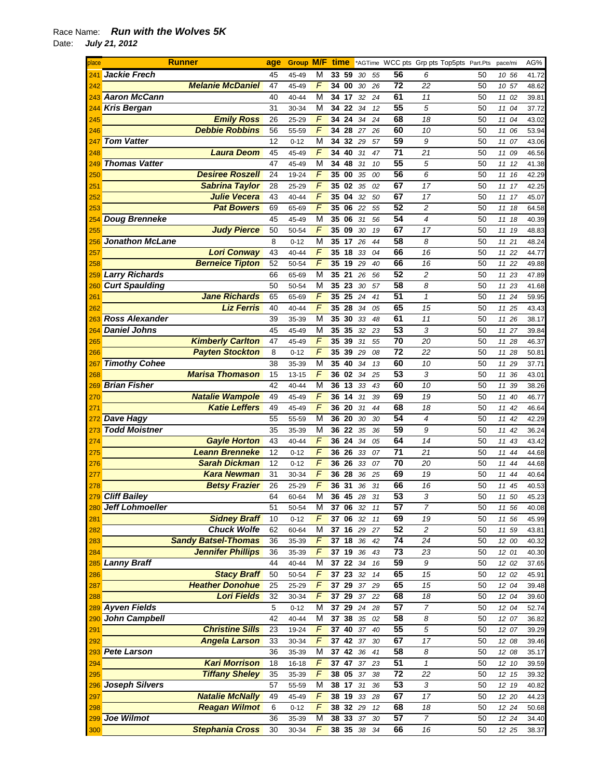## Race Name: *Run with the Wolves 5K*  Date: *July 21, 2012*

| place | <b>Runner</b>              | age | <b>Group M/F time</b> |                         |                 |                    |    |    |                 | *AGTime WCC pts Grp pts Top5pts Part.Pts |    | pace/mi  | AG%   |
|-------|----------------------------|-----|-----------------------|-------------------------|-----------------|--------------------|----|----|-----------------|------------------------------------------|----|----------|-------|
| 241   | <b>Jackie Frech</b>        | 45  | 45-49                 | М                       | 33 59           |                    | 30 | 55 | 56              | 6                                        | 50 | 10 56    | 41.72 |
| 242   | <b>Melanie McDaniel</b>    | 47  | 45-49                 | F                       | 34 00           |                    | 30 | 26 | $\overline{72}$ | 22                                       | 50 | 10 57    | 48.62 |
| 243   | <b>Aaron McCann</b>        | 40  | 40-44                 | M                       | 34 17           |                    | 32 | 24 | 61              | 11                                       | 50 | 11 02    | 39.81 |
| 244   | <b>Kris Bergan</b>         | 31  | 30-34                 | M                       | 34 22           |                    | 34 | 12 | 55              | 5                                        | 50 | 11 04    | 37.72 |
| 245   | <b>Emily Ross</b>          | 26  | 25-29                 | F                       | 34              | 24                 | 34 | 24 | 68              | 18                                       | 50 | 11 04    | 43.02 |
| 246   | <b>Debbie Robbins</b>      | 56  | 55-59                 | F                       | 34 28           |                    | 27 | 26 | 60              | 10                                       | 50 | 11<br>06 | 53.94 |
| 247   | <b>Tom Vatter</b>          | 12  | $0 - 12$              | М                       | 34              | 32                 | 29 | 57 | 59              | 9                                        | 50 | 11 07    | 43.06 |
| 248   | <b>Laura Deom</b>          | 45  | 45-49                 | F                       | 34              | 40                 | 31 | 47 | 71              | 21                                       | 50 | 11 09    | 46.56 |
| 249   | <b>Thomas Vatter</b>       | 47  | 45-49                 | M                       | 34              | 48                 | 31 | 10 | $\overline{55}$ | 5                                        | 50 | 11 12    | 41.38 |
| 250   | <b>Desiree Roszell</b>     | 24  | 19-24                 | F                       | 35              | 00                 | 35 | 00 | 56              | 6                                        | 50 | 11 16    | 42.29 |
| 251   | <b>Sabrina Taylor</b>      | 28  | 25-29                 | $\overline{F}$          | 35              | 02                 | 35 | 02 | 67              | 17                                       | 50 | 11 17    | 42.25 |
| 252   | <b>Julie Vecera</b>        | 43  | 40-44                 | $\overline{F}$          | 35              | 04                 | 32 | 50 | 67              | 17                                       | 50 | 11 17    | 45.07 |
| 253   | <b>Pat Bowers</b>          | 69  | 65-69                 | F                       | 35              | 06                 | 22 | 55 | 52              | $\overline{c}$                           | 50 | 11 18    | 64.58 |
| 254   | <b>Doug Brenneke</b>       | 45  | 45-49                 | M                       | 35              | 06                 | 31 | 56 | 54              | 4                                        | 50 | 11 18    | 40.39 |
| 255   | <b>Judy Pierce</b>         | 50  | 50-54                 | F                       | 35              | 09                 | 30 | 19 | 67              | 17                                       | 50 | 11 19    | 48.83 |
| 256   | <b>Jonathon McLane</b>     | 8   | $0 - 12$              | М                       | 35 17           |                    | 26 | 44 | 58              | 8                                        | 50 | 11 21    | 48.24 |
| 257   | <b>Lori Conway</b>         | 43  | 40-44                 | F                       | 35 18           |                    | 33 | 04 | 66              | 16                                       | 50 | 11 22    | 44.77 |
| 258   | <b>Berneice Tipton</b>     | 52  | 50-54                 | F                       | 35              | 19                 | 29 | 40 | 66              | 16                                       | 50 | 11 22    | 49.88 |
| 259   | <b>Larry Richards</b>      | 66  | 65-69                 | M                       | 35 21           |                    | 26 | 56 | 52              | $\overline{c}$                           | 50 | 11 23    | 47.89 |
| 260   | <b>Curt Spaulding</b>      | 50  | 50-54                 | M                       | 35              | 23                 | 30 | 57 | 58              | 8                                        | 50 | 11 23    | 41.68 |
| 261   | <b>Jane Richards</b>       | 65  | 65-69                 | $\overline{F}$          | $35\,25$        |                    | 24 | 41 | 51              | $\mathbf{1}$                             | 50 | 11 24    | 59.95 |
| 262   | <b>Liz Ferris</b>          | 40  | 40-44                 | $\overline{F}$          | 35              | 28                 | 34 | 05 | 65              | 15                                       | 50 | 11 25    | 43.43 |
| 263   | <b>Ross Alexander</b>      | 39  | 35-39                 | M                       | 35              | 30                 | 33 | 48 | 61              | 11                                       | 50 | 11 26    | 38.17 |
| 264   | <b>Daniel Johns</b>        | 45  | 45-49                 | М                       | 35              | 35                 | 32 | 23 | 53              | 3                                        | 50 | 11 27    | 39.84 |
| 265   | <b>Kimberly Carlton</b>    | 47  | 45-49                 | F                       | 35              | 39                 | 31 | 55 | 70              | 20                                       | 50 | 11 28    | 46.37 |
| 266   | <b>Payten Stockton</b>     | 8   | $0 - 12$              | F                       | 35              | 39                 | 29 | 08 | 72              | 22                                       | 50 | 11 28    | 50.81 |
| 267   | <b>Timothy Cohee</b>       | 38  | 35-39                 | M                       | 35              | 40                 | 34 | 13 | 60              | 10                                       | 50 | 11 29    | 37.71 |
| 268   | <b>Marisa Thomason</b>     | 15  | 13-15                 | F                       | 36              | 02                 | 34 | 25 | 53              | 3                                        | 50 | 11<br>36 | 43.01 |
| 269   | <b>Brian Fisher</b>        | 42  | 40-44                 | M                       | 36 13           |                    | 33 | 43 | 60              | 10                                       | 50 | 11 39    | 38.26 |
| 270   | <b>Natalie Wampole</b>     | 49  | 45-49                 | F                       | 36              | 14                 | 31 | 39 | 69              | 19                                       | 50 | 11 40    | 46.77 |
| 271   | <b>Katie Leffers</b>       | 49  | 45-49                 | F                       | 36 20           |                    | 31 | 44 | 68              | 18                                       | 50 | 11 42    | 46.64 |
| 272   | <b>Dave Hagy</b>           | 55  | 55-59                 | М                       | 36 20           |                    | 30 | 30 | 54              | 4                                        | 50 | 11 42    | 42.29 |
| 273   | <b>Todd Moistner</b>       | 35  | 35-39                 | M                       | 36 22           |                    | 35 | 36 | 59              | 9                                        | 50 | 11 42    | 36.24 |
| 274   | <b>Gayle Horton</b>        | 43  | 40-44                 | $\overline{F}$          | 36              | 24                 | 34 | 05 | 64              | 14                                       | 50 | 11 43    | 43.42 |
| 275   | <b>Leann Brenneke</b>      | 12  | $0 - 12$              | F                       | 36 26           |                    | 33 | 07 | $\overline{71}$ | 21                                       | 50 | 11 44    | 44.68 |
| 276   | <b>Sarah Dickman</b>       | 12  | $0 - 12$              | F                       | 36 26           |                    | 33 | 07 | 70              | 20                                       | 50 | 11<br>44 | 44.68 |
| 277   | <b>Kara Newman</b>         | 31  | 30-34                 | F                       | 36              | 28                 | 36 | 25 | 69              | 19                                       | 50 | 11 44    | 40.64 |
| 278   | <b>Betsy Frazier</b>       | 26  | 25-29                 | F                       | 36              | 31                 | 36 | 31 | 66              | 16                                       | 50 | 11 45    | 40.53 |
|       | 279 Cliff Bailey           | 64  | 60-64                 | $\overline{\mathsf{M}}$ | 36 45           |                    | 28 | 31 | 53              | 3                                        | 50 | 11 50    | 45.23 |
|       | 280 Jeff Lohmoeller        | 51  | 50-54                 | М                       | <b>37 06 32</b> |                    |    | 11 | 57              | 7                                        | 50 | 11 56    | 40.08 |
| 281   | <b>Sidney Braff</b>        | 10  | $0 - 12$              | F                       | 37 06           |                    | 32 | 11 | 69              | 19                                       | 50 | 11 56    | 45.99 |
| 282   | <b>Chuck Wolfe</b>         | 62  | 60-64                 | M                       | 37 16 29        |                    |    | 27 | 52              | $\overline{c}$                           | 50 | 11 59    | 43.81 |
| 283   | <b>Sandy Batsel-Thomas</b> | 36  | 35-39                 | F                       | 37 18           |                    | 36 | 42 | 74              | 24                                       | 50 | 12 00    | 40.32 |
| 284   | <b>Jennifer Phillips</b>   | 36  | 35-39                 | F                       | 37 19           |                    | 36 | 43 | 73              | 23                                       | 50 | 12 01    | 40.30 |
|       | 285 Lanny Braff            | 44  | 40-44                 | M                       | 37 22           |                    | 34 | 16 | 59              | 9                                        | 50 | 12 02    | 37.65 |
| 286   | <b>Stacy Braff</b>         | 50  | 50-54                 | $\overline{F}$          | 37 23           |                    | 32 | 14 | 65              | 15                                       | 50 | 12 02    | 45.91 |
| 287   | <b>Heather Donohue</b>     | 25  | 25-29                 | $\overline{F}$          | 37 29           |                    | 37 | 29 | 65              | 15                                       | 50 | 12 04    | 39.48 |
| 288   | <b>Lori Fields</b>         | 32  | 30-34                 | F                       | 37 29           |                    | 37 | 22 | 68              | 18                                       | 50 | 12 04    | 39.60 |
|       | 289 Ayven Fields           | 5   | $0 - 12$              | М                       | 37 29           |                    | 24 | 28 | 57              | $\overline{7}$                           | 50 | 12 04    | 52.74 |
| 290   | John Campbell              | 42  | 40-44                 | M                       | 37 38 35        |                    |    | 02 | 58              | 8                                        | 50 | 12 07    | 36.82 |
| 291   | <b>Christine Sills</b>     | 23  | 19-24                 | F                       | 37 40           |                    | 37 | 40 | 55              | 5                                        | 50 | 12 07    | 39.29 |
| 292   | <b>Angela Larson</b>       | 33  | 30-34                 | F                       | 37              | $42 \overline{37}$ |    | 30 | 67              | 17                                       | 50 | 12 08    | 39.46 |
|       | 293 Pete Larson            | 36  | 35-39                 | M                       | 37              | 42                 | 36 | 41 | 58              | 8                                        | 50 | 12 08    | 35.17 |
| 294   | <b>Kari Morrison</b>       | 18  | 16-18                 | $\overline{F}$          | 37 47 37        |                    |    | 23 | 51              | $\mathbf 1$                              | 50 | 12 10    | 39.59 |
| 295   | <b>Tiffany Sheley</b>      | 35  | 35-39                 | F                       | 38 05 37        |                    |    | 38 | $\overline{72}$ | 22                                       | 50 | 12 15    | 39.32 |
|       | 296 Joseph Silvers         | 57  | 55-59                 | М                       | 38 17           |                    | 31 | 36 | 53              | 3                                        | 50 | 12 19    | 40.82 |
| 297   | <b>Natalie McNally</b>     | 49  | 45-49                 | F                       | 38 19           |                    | 33 | 28 | 67              | 17                                       | 50 | 12 20    | 44.23 |
| 298   | <b>Reagan Wilmot</b>       | 6   | $0 - 12$              | F                       | 38 32 29        |                    |    | 12 | 68              | 18                                       | 50 | 12 24    | 50.68 |
|       | 299 Joe Wilmot             | 36  | 35-39                 | M                       | 38 33           |                    | 37 | 30 | $\overline{57}$ | $\overline{7}$                           | 50 | 12 24    | 34.40 |
| 300   | <b>Stephania Cross</b>     | 30  | 30-34                 | F                       | 38 35 38        |                    |    | 34 | 66              | 16                                       | 50 | 12 25    | 38.37 |
|       |                            |     |                       |                         |                 |                    |    |    |                 |                                          |    |          |       |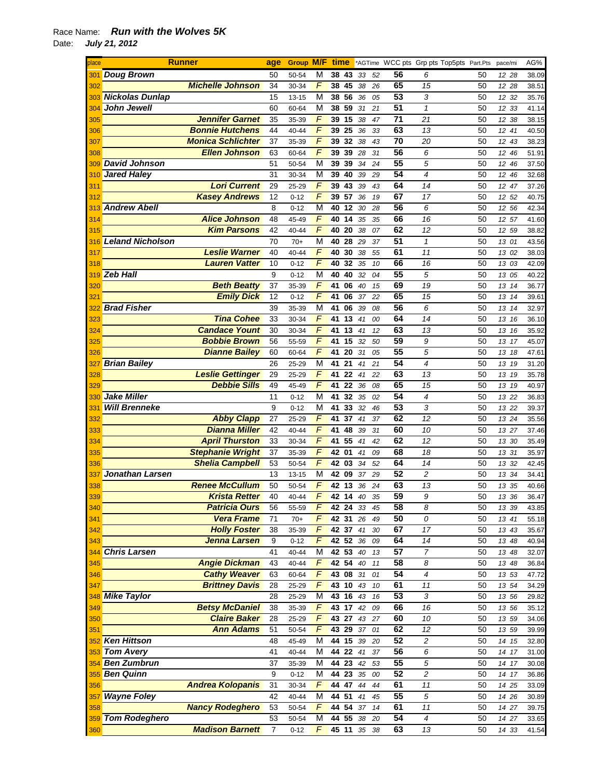## Race Name: *Run with the Wolves 5K*  Date: *July 21, 2012*

| place                  |                         | <b>Runner</b>            | age            | <b>Group M/F</b>     |                | time     |          |          |          |                       | *AGTime WCC pts Grp pts Top5pts Part.Pts |          | pace/mi        | AG%            |
|------------------------|-------------------------|--------------------------|----------------|----------------------|----------------|----------|----------|----------|----------|-----------------------|------------------------------------------|----------|----------------|----------------|
| 301                    | <b>Doug Brown</b>       |                          | 50             | 50-54                | M              | 38       | 43       | 33       | 52       | 56                    | 6                                        | 50       | 12 28          | 38.09          |
| 302                    |                         | <b>Michelle Johnson</b>  | 34             | 30-34                | F              | 38       | 45       | 38       | 26       | 65                    | 15                                       | 50       | 12 28          | 38.51          |
| 303                    | <b>Nickolas Dunlap</b>  |                          | 15             | $13 - 15$            | M              | 38       | 56       | 36       | 05       | 53                    | 3                                        | 50       | 12<br>32       | 35.76          |
| 304                    | <b>John Jewell</b>      |                          | 60             | 60-64                | М              | 38       | 59       | 31       | 21       | 51                    | $\mathcal I$                             | 50       | 12 33          | 41.14          |
| 305                    |                         | <b>Jennifer Garnet</b>   | 35             | 35-39                | F              | 39       | 15       | 38       | 47       | 71                    | 21                                       | 50       | 12<br>-38      | 38.15          |
| 306                    |                         | <b>Bonnie Hutchens</b>   | 44             | 40-44                | F              |          | 39 25    | 36       | 33       | 63                    | 13                                       | 50       | 12 41          | 40.50          |
| 307                    |                         | <b>Monica Schlichter</b> | 37             | 35-39                | F              | 39       | 32       | 38       | 43       | $\overline{70}$       | 20                                       | 50       | 12 43          | 38.23          |
| 308                    |                         | <b>Ellen Johnson</b>     | 63             | 60-64                | F              | 39       | 39       | 28       | 31       | 56                    | 6                                        | 50       | 12 46          | 51.91          |
| 309                    | <b>David Johnson</b>    |                          | 51             | 50-54                | M              | 39       | 39       | 34       | 24       | 55                    | 5                                        | 50       | 12<br>46       | 37.50          |
| 310                    | <b>Jared Haley</b>      |                          | 31             | 30-34                | M              | 39       | 40       | 39       | 29       | 54                    | 4                                        | 50       | 12 46          | 32.68          |
| 311                    |                         | <b>Lori Current</b>      | 29             | 25-29                | $\overline{F}$ | 39       | 43       | 39       | 43       | 64                    | 14                                       | 50       | 12 47          | 37.26          |
| 312                    |                         | <b>Kasey Andrews</b>     | 12             | $0 - 12$             | F              | 39 57    |          | 36       | 19       | 67                    | 17                                       | 50       | 12 52          | 40.75          |
| 313                    | <b>Andrew Abell</b>     |                          | 8              | $0 - 12$             | М              | 40       | 12       | 30       | 28       | 56                    | 6                                        | 50       | 12 56          | 42.34          |
| 314                    |                         | <b>Alice Johnson</b>     | 48             | 45-49                | F              | 40       | 14       | 35       | 35       | 66                    | 16                                       | 50       | 12 57          | 41.60          |
| 315                    |                         | <b>Kim Parsons</b>       | 42             | 40-44                | F              | 40       | 20       | 38       | 07       | 62                    | 12                                       | 50       | 12 59          | 38.82          |
| 316                    | <b>Leland Nicholson</b> |                          | 70             | $70+$                | М              | 40       | 28       | 29       | 37       | 51                    | $\mathbf{1}$                             | 50       | 13 01          | 43.56          |
| 317                    |                         | <b>Leslie Warner</b>     | 40             | 40-44                | F              | 40       | 30       | 38       | 55       | 61                    | 11                                       | 50       | 13 02          | 38.03          |
| 318                    |                         | <b>Lauren Vatter</b>     | 10             | $0 - 12$             | F              | 40       | 32       | 35       | 10       | 66                    | 16                                       | 50       | 13 03          | 42.09          |
| 319                    | <b>Zeb Hall</b>         |                          | 9              | $0 - 12$             | М              | 40       | 40       | 32       | 04       | 55                    | 5                                        | 50       | 13 05          | 40.22          |
| 320                    |                         | <b>Beth Beatty</b>       | 37             | 35-39                | F              | 41       | 06       | 40       | 15       | 69                    | 19                                       | 50       | 13 14          | 36.77          |
| 321                    |                         | <b>Emily Dick</b>        | 12             | $0 - 12$             | F              | 41       | 06       | 37       | 22       | 65                    | 15                                       | 50       | 13 14          | 39.61          |
| 322                    | <b>Brad Fisher</b>      | <b>Tina Cohee</b>        | 39             | 35-39                | М              | 41       | 06       | 39       | 08       | 56                    | 6                                        | 50       | 13 14          | 32.97          |
| 323                    |                         |                          | 33             | 30-34                | F              | 41       | 13       | 41       | 00       | 64                    | 14                                       | 50       | 13 16          | 36.10          |
| 324                    |                         | <b>Candace Yount</b>     | 30             | 30-34                | F              | 41       | 13       | 41       | 12       | 63                    | 13                                       | 50       | 13 16          | 35.92          |
| 325                    |                         | <b>Bobbie Brown</b>      | 56             | 55-59                | F<br>F         | 41       | 15       | 32       | 50       | 59<br>$\overline{55}$ | 9                                        | 50       | 13 17          | 45.07          |
| 326                    |                         | <b>Dianne Bailey</b>     | 60             | 60-64                | M              | 41       | 20<br>21 | 31       | 05       | 54                    | 5                                        | 50       | 13 18          | 47.61          |
| 327                    | <b>Brian Bailey</b>     | <b>Leslie Gettinger</b>  | 26             | 25-29                | F              | 41<br>41 | 22       | 41       | 21       | 63                    | 4<br>13                                  | 50       | 13 19          | 31.20          |
| 328                    |                         | <b>Debbie Sills</b>      | 29<br>49       | 25-29                | F              | 41       | 22       | 41       | 22       | 65                    |                                          | 50<br>50 | 13 19          | 35.78          |
| 329                    | <b>Jake Miller</b>      |                          | 11             | 45-49                | М              | 41       | 32       | 36       | 08       | 54                    | 15<br>$\overline{4}$                     | 50       | 13 19          | 40.97          |
| 330<br>33 <sup>1</sup> | <b>Will Brenneke</b>    |                          | 9              | $0 - 12$<br>$0 - 12$ | М              | 41       | 33       | 35<br>32 | 02<br>46 | 53                    | 3                                        | 50       | 13 22<br>13 22 | 36.83<br>39.37 |
| 332                    |                         | <b>Abby Clapp</b>        | 27             | 25-29                | F              | 41       | 37       | 41       | 37       | 62                    | 12                                       | 50       | 13 24          | 35.56          |
| 333                    |                         | <b>Dianna Miller</b>     | 42             | 40-44                | $\overline{F}$ | 41       | 48       | 39       | 31       | 60                    | 10                                       | 50       | 13 27          | 37.46          |
| 334                    |                         | <b>April Thurston</b>    | 33             | 30-34                | $\overline{F}$ | 41       | 55       | 41       | 42       | 62                    | 12                                       | 50       | 13 30          | 35.49          |
| 335                    |                         | <b>Stephanie Wright</b>  | 37             | 35-39                | $\overline{F}$ | 42       | 01       | 41       | 09       | 68                    | 18                                       | 50       | 13 31          | 35.97          |
| 336                    |                         | <b>Shelia Campbell</b>   | 53             | 50-54                | F              |          | 42 03    | 34       | 52       | 64                    | 14                                       | 50       | 13 32          | 42.45          |
| 337                    | Jonathan Larsen         |                          | 13             | 13-15                | М              | 42 09    |          | 37       | 29       | 52                    | 2                                        | 50       | 13 34          | 34.41          |
| 338                    |                         | <b>Renee McCullum</b>    | 50             | 50-54                | F              |          | 42 13    | 36       | 24       | 63                    | 13                                       | 50       | 13 35          | 40.66          |
| 339                    |                         | <b>Krista Retter</b>     | 40             | 40-44                | F              |          | 42 14 40 |          | 35       | 59                    | 9                                        | 50       | 13 36          | 36.47          |
| 340                    |                         | <b>Patricia Ours</b>     | 56             | 55-59                | F              |          | 42 24 33 |          | 45       | 58                    | 8                                        | 50       | 13 39          | 43.85          |
| 341                    |                         | <b>Vera Frame</b>        | 71             | $70+$                | F              |          | 42 31 26 |          | 49       | 50                    | 0                                        | 50       | 13 41          | 55.18          |
| 342                    |                         | <b>Holly Foster</b>      | 38             | 35-39                | F              | 42 37    |          | 41       | 30       | 67                    | 17                                       | 50       | 13 43          | 35.67          |
| 343                    |                         | Jenna Larsen             | 9              | $0 - 12$             | F              |          | 42 52    | 36       | 09       | 64                    | 14                                       | 50       | 13 48          | 40.94          |
|                        | 344 Chris Larsen        |                          | 41             | 40-44                | M              |          | 42 53    | 40       | 13       | 57                    | $\overline{7}$                           | 50       | 13 48          | 32.07          |
| 345                    |                         | <b>Angie Dickman</b>     | 43             | $40 - 44$            | F              |          | 42 54 40 |          | 11       | 58                    | 8                                        | 50       | 13 48          | 36.84          |
| 346                    |                         | <b>Cathy Weaver</b>      | 63             | 60-64                | F              |          | 43 08 31 |          | 01       | $\overline{54}$       | 4                                        | 50       | 13 53          | 47.72          |
| 347                    |                         | <b>Brittney Davis</b>    | 28             | 25-29                | F              |          | 43 10 43 |          | 10       | 61                    | 11                                       | 50       | 13 54          | 34.29          |
|                        | 348 Mike Taylor         |                          | 28             | 25-29                | М              |          | 43 16 43 |          | 16       | 53                    | 3                                        | 50       | 13 56          | 29.82          |
| 349                    |                         | <b>Betsy McDaniel</b>    | 38             | 35-39                | F              |          | 43 17    | 42       | 09       | 66                    | 16                                       | 50       | 13 56          | 35.12          |
| 350                    |                         | <b>Claire Baker</b>      | 28             | 25-29                | F              |          | 43 27    | 43       | 27       | 60                    | 10                                       | 50       | 13 59          | 34.06          |
| 351                    |                         | <b>Ann Adams</b>         | 51             | 50-54                | F              | 43       | 29       | 37       | 01       | 62                    | 12                                       | 50       | 13 59          | 39.99          |
|                        | 352 Ken Hittson         |                          | 48             | 45-49                | М              |          | 44 15 39 |          | 20       | 52                    | $\sqrt{2}$                               | 50       | 14 15          | 32.80          |
|                        | 353 Tom Avery           |                          | 41             | 40-44                | M              |          | 44 22    | 41       | 37       | 56                    | 6                                        | 50       | 14 17          | 31.00          |
| 354                    | <b>Ben Zumbrun</b>      |                          | 37             | 35-39                | М              |          | 44 23 42 |          | 53       | 55                    | 5                                        | 50       | 14 17          | 30.08          |
| 355                    | <b>Ben Quinn</b>        |                          | 9              | $0 - 12$             | М              |          | 44 23 35 |          | 00       | 52                    | $\overline{c}$                           | 50       | 14 17          | 36.86          |
| 356                    |                         | <b>Andrea Kolopanis</b>  | 31             | 30-34                | F              |          | 44 47 44 |          | 44       | 61                    | 11                                       | 50       | 14 25          | 33.09          |
| 357                    | <b>Wayne Foley</b>      |                          | 42             | 40-44                | M              | 44 51    |          | 41       | 45       | 55                    | 5                                        | 50       | 14 26          | 30.89          |
| 358                    |                         | <b>Nancy Rodeghero</b>   | 53             | 50-54                | F              |          | 44 54 37 |          | 14       | 61                    | 11                                       | 50       | 14 27          | 39.75          |
|                        | 359 Tom Rodeghero       |                          | 53             | 50-54                | M              | 44       | 55       | 38       | 20       | 54                    | 4                                        | 50       | 14 27          | 33.65          |
| 360                    |                         | <b>Madison Barnett</b>   | $\overline{7}$ | $0 - 12$             | F              |          | 45 11 35 |          | 38       | 63                    | 13                                       | 50       | 14 33          | 41.54          |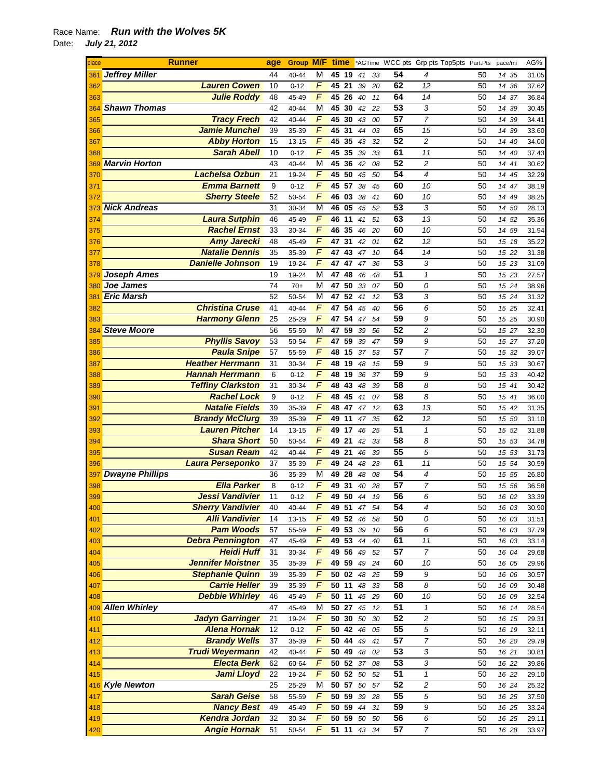| place           | <b>Runner</b>                              | age      | <b>Group M/F</b> |                     | time                  |          |          |          |                 | *AGTime WCC pts Grp pts Top5pts Part.Pts |          | pace/mi        | AG%            |
|-----------------|--------------------------------------------|----------|------------------|---------------------|-----------------------|----------|----------|----------|-----------------|------------------------------------------|----------|----------------|----------------|
| 361             | <b>Jeffrey Miller</b>                      | 44       | 40-44            | M                   | 45                    | 19       | 41       | 33       | 54              | 4                                        | 50       | 14 35          | 31.05          |
| 362             | <b>Lauren Cowen</b>                        | 10       | $0 - 12$         | F                   | 45                    | 21       | 39       | 20       | 62              | 12                                       | 50       | 14 36          | 37.62          |
| 363             | <b>Julie Roddy</b>                         | 48       | 45-49            | F                   | 45                    | 26       | 40       | 11       | 64              | 14                                       | 50       | 14 37          | 36.84          |
| 364             | <b>Shawn Thomas</b>                        | 42       | 40-44            | M                   | 45                    | 30       | 42       | 22       | 53              | 3                                        | 50       | 39<br>14       | 30.45          |
| 365             | <b>Tracy Frech</b>                         | 42       | 40-44            | F                   | 45                    | 30       | 43       | 00       | 57              | $\overline{7}$                           | 50       | 14 39          | 34.41          |
| 366             | <b>Jamie Munchel</b>                       | 39       | 35-39            | F                   | 45                    | 31       | 44       | 03       | 65              | 15                                       | 50       | 14 39          | 33.60          |
| 367             | <b>Abby Horton</b>                         | 15       | 13-15            | F                   | 45                    | 35       | 43       | 32       | 52              | $\overline{c}$                           | 50       | 14 40          | 34.00          |
| 368             | <b>Sarah Abell</b>                         | 10       | $0 - 12$         | F                   | 45                    | 35       | 39       | 33       | 61              | 11                                       | 50       | 14 40          | 37.43          |
| 369             | <b>Marvin Horton</b>                       | 43       | 40-44            | M                   | 45                    | 36       | 42       | 08       | 52              | $\overline{c}$                           | 50       | 14 41          | 30.62          |
| 370             | <b>Lachelsa Ozbun</b>                      | 21       | 19-24            | $\overline{F}$      | 45                    | 50       | 45       | 50       | 54              | $\overline{\mathcal{A}}$                 | 50       | 14 45          | 32.29          |
| 371             | <b>Emma Barnett</b>                        | 9        | $0 - 12$         | F                   | 45                    | 57       | 38       | 45       | 60              | 10                                       | 50       | 14 47          | 38.19          |
| 372             | <b>Sherry Steele</b>                       | 52       | 50-54            | F                   | 46                    | 03       | 38       | 41       | 60              | 10                                       | 50       | 14 49          | 38.25          |
| 373             | <b>Nick Andreas</b>                        | 31       | 30-34            | М                   | 46                    | 05       | 45       | 52       | 53              | 3                                        | 50       | 14 50          | 28.13          |
| 374             | <b>Laura Sutphin</b>                       | 46       | 45-49            | F                   | 46                    | 11       | 41       | 51       | 63              | 13                                       | 50       | 14 52          | 35.36          |
| 375             | <b>Rachel Ernst</b>                        | 33       | 30-34            | F                   | 46                    | 35       | 46       | 20       | 60              | 10                                       | 50       | 14 59          | 31.94          |
| 376             | <b>Amy Jarecki</b>                         | 48       | 45-49            | F                   | 47                    | 31       | 42       | 01       | 62              | 12                                       | 50       | 15 18          | 35.22          |
| 377             | <b>Natalie Dennis</b>                      | 35       | 35-39            | F                   | 47                    | 43       | 47       | 10       | 64              | 14                                       | 50       | 15 22          | 31.38          |
| 378             | <b>Danielle Johnson</b>                    | 19       | 19-24            | F                   | 47                    | 47       | 47       | 36       | 53              | 3                                        | 50       | 15 23          | 31.09          |
| 379             | <b>Joseph Ames</b>                         | 19       | 19-24            | М                   | 47                    | 48       | 46       | 48       | 51              | $\mathbf{1}$                             | 50       | 15 23          | 27.57          |
| 380             | Joe James                                  | 74       | $70+$            | М                   | 47                    | 50       | 33       | 07       | 50              | 0                                        | 50       | 15 24          | 38.96          |
| 38 <sup>7</sup> | <b>Eric Marsh</b>                          | 52       | 50-54            | М                   | 47                    | 52       | 41       | 12       | $\overline{53}$ | 3                                        | 50       | 15 24          | 31.32          |
| 382             | <b>Christina Cruse</b>                     | 41       | 40-44            | F<br>F              | 47                    | 54       | 45       | 40       | 56<br>59        | 6                                        | 50       | 15 25          | 32.41          |
| 383             | <b>Harmony Glenn</b><br><b>Steve Moore</b> | 25       | 25-29            |                     | 47                    | 54       | 47       | 54       | 52              | 9                                        | 50       | 15 25          | 30.90          |
| 384             | <b>Phyllis Savoy</b>                       | 56       | 55-59            | M<br>$\overline{F}$ | 47                    | 59       | 39       | 56       | 59              | $\overline{c}$                           | 50       | 15 27          | 32.30          |
| 385             | <b>Paula Snipe</b>                         | 53<br>57 | 50-54            | $\sqrt{F}$          | 47                    | 59<br>15 | 39       | 47       | 57              | 9<br>$\overline{7}$                      | 50<br>50 | 15 27          | 37.20          |
| 386             | <b>Heather Herrmann</b>                    | 31       | 55-59<br>30-34   | F                   | 48<br>48              | 19       | 37<br>48 | 53<br>15 | 59              | 9                                        | 50       | 15 32          | 39.07<br>30.67 |
| 387<br>388      | <b>Hannah Herrmann</b>                     | 6        | $0 - 12$         | F                   | 48                    | 19       | 36       | 37       | 59              | 9                                        | 50       | 15 33<br>15 33 | 40.42          |
| 389             | <b>Teffiny Clarkston</b>                   | 31       | 30-34            | F                   | 48                    | 43       | 48       | 39       | 58              | 8                                        | 50       | 15 41          | 30.42          |
| 390             | <b>Rachel Lock</b>                         | 9        | $0 - 12$         | F                   | 48                    | 45       | 41       | 07       | 58              | 8                                        | 50       | 15 41          | 36.00          |
| 391             | <b>Natalie Fields</b>                      | 39       | 35-39            | F                   | 48                    | 47       | 47       | 12       | 63              | 13                                       | 50       | 15 42          | 31.35          |
| 392             | <b>Brandy McClurg</b>                      | 39       | 35-39            | F                   | 49                    | 11       | 47       | 35       | 62              | 12                                       | 50       | 15 50          | 31.10          |
| 393             | <b>Lauren Pitcher</b>                      | 14       | 13-15            | $\overline{F}$      | 49                    | 17       | 46       | 25       | 51              | $\mathbf{1}$                             | 50       | 15 52          | 31.88          |
| 394             | <b>Shara Short</b>                         | 50       | 50-54            | $\overline{F}$      | 49                    | 21       | 42       | 33       | 58              | 8                                        | 50       | 15 53          | 34.78          |
| 395             | <b>Susan Ream</b>                          | 42       | 40-44            | F                   | 49                    | 21       | 46       | 39       | 55              | 5                                        | 50       | 15 53          | 31.73          |
| 396             | Laura Perseponko                           | 37       | 35-39            | $\sqrt{F}$          | 49 24                 |          | 48       | 23       | 61              | 11                                       | 50       | 15 54          | 30.59          |
| 397             | <b>Dwayne Phillips</b>                     | 36       | 35-39            | М                   | 49                    | 28       | 48       | 08       | 54              | $\overline{4}$                           | 50       | 15 55          | 26.80          |
| 398             | <b>Ella Parker</b>                         | 8        | $0 - 12$         | F                   | 49                    | 31       | 40       | 28       | 57              | $\overline{7}$                           | 50       | 15 56          | 36.58          |
| 399             | Jessi Vandivier                            | 11       | $0 - 12$         | r                   | 4950                  |          | 44       | 19       | 56              | 6                                        | 50       | 16 02          | 33.39          |
| 400             | <b>Sherry Vandivier</b>                    | 40       | 40-44            | F                   | 49 51                 |          | 47       | 54       | 54              | $\overline{\mathcal{A}}$                 | 50       | 16 03          | 30.90          |
| 401             | <b>Alli Vandivier</b>                      | 14       | $13 - 15$        | F                   | 49 52                 |          | 46       | 58       | 50              | 0                                        | 50       | 16 03          | 31.51          |
| 402             | <b>Pam Woods</b>                           | 57       | 55-59            | $\sqrt{2}$          | 49 53                 |          | 39       | 10       | 56              | 6                                        | 50       | 16 03          | 37.79          |
| 403             | <b>Debra Pennington</b>                    | 47       | 45-49            | $\sqrt{2}$          | 49 53                 |          | 44       | 40       | 61              | 11                                       | 50       | 16 03          | 33.14          |
| 404             | <b>Heidi Huff</b>                          | 31       | 30-34            | F                   | 49 56                 |          | 49       | 52       | 57              | $\overline{7}$                           | 50       | 16 04          | 29.68          |
| 405             | <b>Jennifer Moistner</b>                   | 35       | 35-39            | F                   | 49 59                 |          | 49       | 24       | 60              | 10                                       | 50       | 16 05          | 29.96          |
| 406             | <b>Stephanie Quinn</b>                     | 39       | 35-39            | F                   | $50$ $02$             |          | 48       | 25       | 59              | 9                                        | 50       | 16 06          | 30.57          |
| 407             | <b>Carrie Heller</b>                       | 39       | 35-39            | F                   | 50 11                 |          | 48       | 33       | 58              | 8                                        | 50       | 16 09          | 30.48          |
| 408             | <b>Debbie Whirley</b>                      | 46       | 45-49            | $\overline{F}$      | 50 11                 |          | 45       | 29       | 60              | 10                                       | 50       | 16 09          | 32.54          |
|                 | 409 Allen Whirley                          | 47       | 45-49            | М                   | 50 27                 |          | 45       | 12       | 51              | $\boldsymbol{\mathcal{L}}$               | 50       | 16 14          | 28.54          |
| 410             | <b>Jadyn Garringer</b>                     | 21       | 19-24            | $\overline{F}$      | 50 30                 |          | 50       | 30       | 52              | $\boldsymbol{2}$                         | 50       | 16 15          | 29.31          |
| 411             | <b>Alena Hornak</b>                        | 12       | $0 - 12$         | F                   | $\overline{50}$ 42 46 |          |          | 05       | 55              | 5                                        | 50       | 16 19          | 32.11          |
| 412             | <b>Brandy Wells</b>                        | 37       | 35-39            | $\overline{F}$      | $50$ 44               |          | 49       | 41       | 57              | $\overline{7}$                           | 50       | 16 20          | 29.79          |
| 413             | <b>Trudi Weyermann</b>                     | 42       | $40 - 44$        | F                   | 50 49                 |          | 48       | 02       | 53              | 3                                        | 50       | 16 21          | 30.81          |
| 414             | <b>Electa Berk</b>                         | 62       | 60-64            | F                   | 50 52 37              |          |          | 08       | 53              | 3                                        | 50       | 16 22          | 39.86          |
| 415             | Jami Lloyd                                 | 22       | 19-24            | F                   | 50 52 50              |          |          | 52       | 51              | $\mathbf{1}$                             | 50       | 16 22          | 29.10          |
| 416             | <b>Kyle Newton</b>                         | 25       | 25-29            | М                   | 50 57 50              |          |          | 57       | 52              | $\overline{\mathbf{c}}$                  | 50       | 16 24          | 25.32          |
| 417             | <b>Sarah Geise</b>                         | 58       | 55-59            | $\overline{F}$      | 50 59                 |          | 39       | 28       | 55              | 5                                        | 50       | 16 25          | 37.50          |
| 418             | <b>Nancy Best</b>                          | 49       | 45-49            | $\overline{F}$      | 50 59                 |          | 44       | 31       | 59              | 9                                        | 50       | 16 25          | 33.24          |
| 419             | <b>Kendra Jordan</b>                       | 32       | 30-34            | $\overline{F}$      | 50 59 50              |          |          | 50       | 56              | 6                                        | 50       | 16 25          | 29.11          |
| 420             | <b>Angie Hornak</b>                        | 51       | 50-54            | F                   | 51 11                 |          | 43       | 34       | 57              | $\overline{7}$                           | 50       | 16 28          | 33.97          |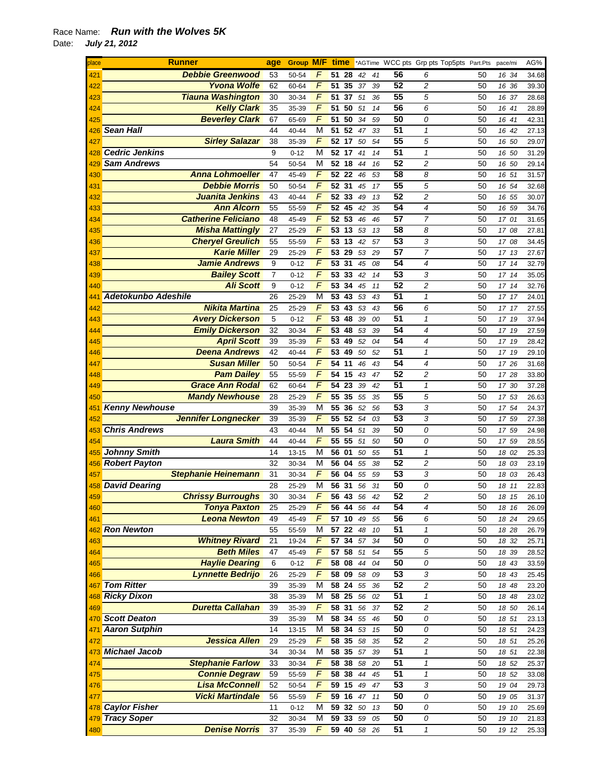| place | Runner                     | age            | <b>Group M/F</b> |                | time     |    |    |    |                 | *AGTime WCC pts Grp pts Top5pts Part.Pts |    | pace/mi | AG%   |
|-------|----------------------------|----------------|------------------|----------------|----------|----|----|----|-----------------|------------------------------------------|----|---------|-------|
| 421   | <b>Debbie Greenwood</b>    | 53             | 50-54            | F              | 51       | 28 | 42 | 41 | 56              | 6                                        | 50 | 16 34   | 34.68 |
| 422   | <b>Yvona Wolfe</b>         | 62             | 60-64            | F              | 51       | 35 | 37 | 39 | 52              | 2                                        | 50 | 16 36   | 39.30 |
| 423   | <b>Tiauna Washington</b>   | 30             | 30-34            | F              | 51       | 37 | 51 | 36 | 55              | 5                                        | 50 | 16 37   | 28.68 |
| 424   | <b>Kelly Clark</b>         | 35             | 35-39            | F              | 51       | 50 | 51 | 14 | 56              | 6                                        | 50 | 16 41   | 28.89 |
| 425   | <b>Beverley Clark</b>      | 67             | 65-69            | F              | 51       | 50 | 34 | 59 | 50              | 0                                        | 50 | 16 41   | 42.31 |
|       |                            |                |                  |                |          |    |    |    | 51              |                                          |    |         |       |
| 426   | <b>Sean Hall</b>           | 44             | 40-44            | М              | 51       | 52 | 47 | 33 |                 | $\mathbf{1}$                             | 50 | 16 42   | 27.13 |
| 427   | <b>Sirley Salazar</b>      | 38             | 35-39            | F              | 52       | 17 | 50 | 54 | 55              | 5                                        | 50 | 16 50   | 29.07 |
|       | 428 Cedric Jenkins         | 9              | $0 - 12$         | M              | 52       | 17 | 41 | 14 | 51              | $\mathcal I$                             | 50 | 16 50   | 31.29 |
| 429   | <b>Sam Andrews</b>         | 54             | 50-54            | М              | 52 18    |    | 44 | 16 | 52              | 2                                        | 50 | 16 50   | 29.14 |
| 430   | <b>Anna Lohmoeller</b>     | 47             | 45-49            | $\overline{F}$ | 52 22    |    | 46 | 53 | 58              | 8                                        | 50 | 16 51   | 31.57 |
| 431   | <b>Debbie Morris</b>       | 50             | 50-54            | $\overline{F}$ | 52       | 31 | 45 | 17 | 55              | 5                                        | 50 | 16 54   | 32.68 |
| 432   | Juanita Jenkins            | 43             | 40-44            | F              | $52$ 33  |    | 49 | 13 | 52              | 2                                        | 50 | 16 55   | 30.07 |
| 433   | <b>Ann Alcorn</b>          | 55             | 55-59            | F              | 52       | 45 | 42 | 35 | 54              | 4                                        | 50 | 16 59   | 34.76 |
|       | <b>Catherine Feliciano</b> |                |                  | F              | 52 53    |    |    |    | 57              | 7                                        |    |         |       |
| 434   |                            | 48             | 45-49            |                |          |    | 46 | 46 |                 |                                          | 50 | 17 01   | 31.65 |
| 435   | <b>Misha Mattingly</b>     | 27             | 25-29            | F              | 53       | 13 | 53 | 13 | 58              | 8                                        | 50 | 17 08   | 27.81 |
| 436   | <b>Cheryel Greulich</b>    | 55             | 55-59            | F              | 53 13    |    | 42 | 57 | 53              | 3                                        | 50 | 17 08   | 34.45 |
| 437   | <b>Karie Miller</b>        | 29             | 25-29            | F              | 53       | 29 | 53 | 29 | 57              | 7                                        | 50 | 17 13   | 27.67 |
| 438   | <b>Jamie Andrews</b>       | 9              | $0 - 12$         | F              | 53       | 31 | 45 | 08 | 54              | 4                                        | 50 | 17 14   | 32.79 |
| 439   | <b>Bailey Scott</b>        | $\overline{7}$ | $0 - 12$         | $\overline{F}$ | 53       | 33 | 42 | 14 | 53              | 3                                        | 50 | 17 14   | 35.05 |
| 440   | <b>Ali Scott</b>           | 9              | $0 - 12$         | F              | 53       | 34 | 45 | 11 | 52              | 2                                        | 50 | 17 14   | 32.76 |
| 441   | <b>Adetokunbo Adeshile</b> | 26             | 25-29            | M              | 53       | 43 | 53 | 43 | 51              | $\mathbf{1}$                             | 50 | 17 17   | 24.01 |
| 442   | <b>Nikita Martina</b>      | 25             | 25-29            | F              | 53       | 43 | 53 | 43 | 56              | 6                                        | 50 | 17 17   | 27.55 |
|       |                            |                |                  | $\overline{F}$ |          |    |    |    | 51              |                                          |    |         |       |
| 443   | <b>Avery Dickerson</b>     | 5              | $0 - 12$         |                | 53       | 48 | 39 | 00 |                 | $\mathbf{1}$                             | 50 | 17 19   | 37.94 |
| 444   | <b>Emily Dickerson</b>     | 32             | 30-34            | F              | 53       | 48 | 53 | 39 | $\overline{54}$ | 4                                        | 50 | 17 19   | 27.59 |
| 445   | <b>April Scott</b>         | 39             | 35-39            | F              | 53       | 49 | 52 | 04 | 54              | 4                                        | 50 | 17 19   | 28.42 |
| 446   | <b>Deena Andrews</b>       | 42             | 40-44            | F              | 53       | 49 | 50 | 52 | 51              | $\mathbf{1}$                             | 50 | 17 19   | 29.10 |
| 447   | <b>Susan Miller</b>        | 50             | 50-54            | F              | 54       | 11 | 46 | 43 | 54              | 4                                        | 50 | 17 26   | 31.68 |
| 448   | <b>Pam Dailey</b>          | 55             | 55-59            | F              | 54       | 15 | 43 | 47 | 52              | 2                                        | 50 | 17 28   | 33.80 |
| 449   | <b>Grace Ann Rodal</b>     | 62             | 60-64            | F              | 54       | 23 | 39 | 42 | 51              | $\mathbf{1}$                             | 50 | 17 30   | 37.28 |
| 450   | <b>Mandy Newhouse</b>      | 28             | 25-29            | F              | 55       | 35 | 55 | 35 | 55              | 5                                        | 50 | 17 53   | 26.63 |
|       | <b>Kenny Newhouse</b>      | 39             |                  | М              | 55       | 36 |    |    | 53              | 3                                        | 50 |         |       |
| 451   |                            |                | 35-39            |                |          |    | 52 | 56 |                 |                                          |    | 17 54   | 24.37 |
| 452   | <b>Jennifer Longnecker</b> | 39             | 35-39            | F              | 55 52    |    | 54 | 03 | 53              | 3                                        | 50 | 17 59   | 27.38 |
| 453   | <b>Chris Andrews</b>       | 43             | 40-44            | M              | 55 54    |    | 51 | 39 | 50              | 0                                        | 50 | 17 59   | 24.98 |
| 454   | <b>Laura Smith</b>         | 44             | 40-44            | $\overline{F}$ | 55       | 55 | 51 | 50 | 50              | 0                                        | 50 | 17 59   | 28.55 |
| 455   | <b>Johnny Smith</b>        | 14             | 13-15            | M              | 56       | 01 | 50 | 55 | 51              | $\mathbf{1}$                             | 50 | 18 02   | 25.33 |
|       | 456 Robert Payton          | 32             | 30-34            | M              | 56       | 04 | 55 | 38 | 52              | 2                                        | 50 | 18 03   | 23.19 |
| 457   | <b>Stephanie Heinemann</b> | 31             | 30-34            | F              | 56       | 04 | 55 | 59 | 53              | 3                                        | 50 | 18 03   | 26.43 |
|       | 458 David Dearing          | 28             | 25-29            | М              | 56       | 31 | 56 | 31 | 50              | 0                                        | 50 | 18 11   | 22.83 |
| 459   | <b>Chrissy Burroughs</b>   | 30             | 30-34            | F              | 56 43    |    | 56 | 42 | 52              | 2                                        | 50 | 18 15   | 26.10 |
|       | <b>Tonya Paxton</b>        | 25             | 25-29            | F              | 56 44    |    | 56 | 44 | 54              | 4                                        | 50 |         |       |
| 460   |                            |                |                  | F              |          |    |    |    |                 |                                          |    | 18 16   | 26.09 |
| 461   | <b>Leona Newton</b>        | 49             | 45-49            |                | 57 10    |    | 49 | 55 | 56              | 6                                        | 50 | 18 24   | 29.65 |
|       | 462 Ron Newton             | 55             | 55-59            | M              | 57 22    |    | 48 | 10 | 51              | $\mathbf{1}$                             | 50 | 18 28   | 26.79 |
| 463   | <b>Whitney Rivard</b>      | 21             | 19-24            | F              | 57 34    |    | 57 | 34 | 50              | 0                                        | 50 | 18 32   | 25.71 |
| 464   | <b>Beth Miles</b>          | 47             | 45-49            | $\overline{F}$ | 57       | 58 | 51 | 54 | 55              | 5                                        | 50 | 18 39   | 28.52 |
| 465   | <b>Haylie Dearing</b>      | 6              | $0 - 12$         | F              | 58 08    |    | 44 | 04 | 50              | 0                                        | 50 | 18 43   | 33.59 |
| 466   | <b>Lynnette Bedrijo</b>    | 26             | 25-29            | F              | 58       | 09 | 58 | 09 | 53              | 3                                        | 50 | 18 43   | 25.45 |
| 467   | <b>Tom Ritter</b>          | 39             | 35-39            | М              | 58       | 24 | 55 | 36 | 52              | 2                                        | 50 | 18 48   | 23.20 |
|       | 468 Ricky Dixon            | 38             | 35-39            | М              | 58 25    |    | 56 | 02 | 51              | $\mathbf{1}$                             | 50 | 18 48   | 23.02 |
| 469   | <b>Duretta Callahan</b>    | 39             | 35-39            | F              | 58 31    |    | 56 | 37 | 52              | $\overline{\mathbf{c}}$                  | 50 | 18 50   | 26.14 |
|       |                            |                |                  |                |          |    |    |    |                 |                                          |    |         |       |
|       | 470 Scott Deaton           | 39             | 35-39            | M              | 58       | 34 | 55 | 46 | 50              | 0                                        | 50 | 18 51   | 23.13 |
| 471   | <b>Aaron Sutphin</b>       | 14             | 13-15            | M              | 58       | 34 | 53 | 15 | 50              | 0                                        | 50 | 18 51   | 24.23 |
| 472   | <b>Jessica Allen</b>       | 29             | 25-29            | $\sqrt{2}$     | 58       | 35 | 58 | 35 | 52              | $\overline{\mathbf{c}}$                  | 50 | 18 51   | 25.26 |
|       | 473 Michael Jacob          | 34             | 30-34            | М              | 58       | 35 | 57 | 39 | $\overline{51}$ | 1                                        | 50 | 18 51   | 22.38 |
| 474   | <b>Stephanie Farlow</b>    | 33             | 30-34            | F              | 58       | 38 | 58 | 20 | 51              | 1                                        | 50 | 18 52   | 25.37 |
| 475   | <b>Connie Degraw</b>       | 59             | 55-59            | F              | 58       | 38 | 44 | 45 | 51              | 1                                        | 50 | 18 52   | 33.08 |
| 476   | <b>Lisa McConnell</b>      | 52             | 50-54            | F              | 59 15    |    | 49 | 47 | 53              | 3                                        | 50 | 19 04   | 29.73 |
| 477   | <b>Vicki Martindale</b>    | 56             | 55-59            | F              | 59 16    |    | 47 | 11 | 50              | 0                                        | 50 | 19 05   | 31.37 |
|       | 478 Caylor Fisher          | 11             |                  |                |          |    |    |    | 50              | 0                                        |    |         |       |
|       |                            |                | $0 - 12$         | М              | 59 32    |    | 50 | 13 |                 |                                          | 50 | 19 10   | 25.69 |
|       | 479 Tracy Soper            | 32             | 30-34            | M              | 59       | 33 | 59 | 05 | 50              | 0                                        | 50 | 19 10   | 21.83 |
| 480   | <b>Denise Norris</b>       | 37             | 35-39            | F              | 59 40 58 |    |    | 26 | 51              | $\mathbf{1}$                             | 50 | 19 12   | 25.33 |